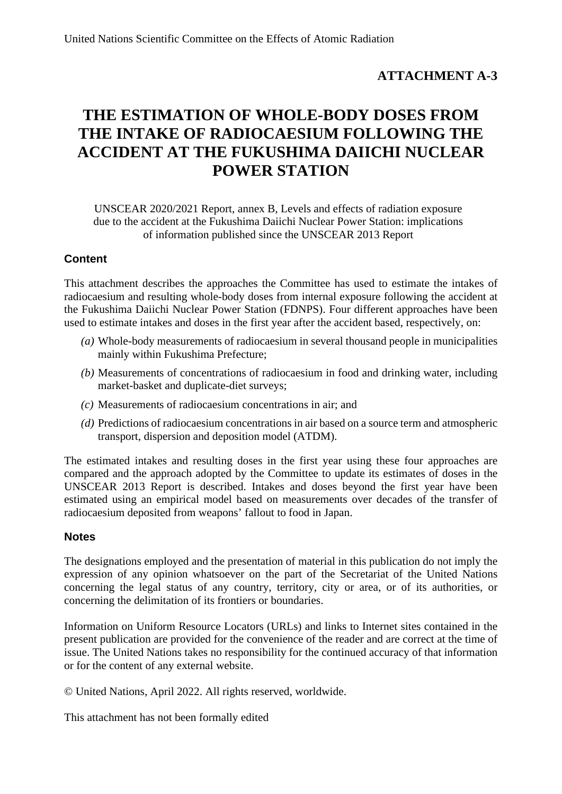# **ATTACHMENT A-3**

# **THE ESTIMATION OF WHOLE-BODY DOSES FROM THE INTAKE OF RADIOCAESIUM FOLLOWING THE ACCIDENT AT THE FUKUSHIMA DAIICHI NUCLEAR POWER STATION**

UNSCEAR 2020/2021 Report, annex B, Levels and effects of radiation exposure due to the accident at the Fukushima Daiichi Nuclear Power Station: implications of information published since the UNSCEAR 2013 Report

## **Content**

This attachment describes the approaches the Committee has used to estimate the intakes of radiocaesium and resulting whole-body doses from internal exposure following the accident at the Fukushima Daiichi Nuclear Power Station (FDNPS). Four different approaches have been used to estimate intakes and doses in the first year after the accident based, respectively, on:

- *(a)* Whole-body measurements of radiocaesium in several thousand people in municipalities mainly within Fukushima Prefecture;
- *(b)* Measurements of concentrations of radiocaesium in food and drinking water, including market-basket and duplicate-diet surveys;
- *(c)* Measurements of radiocaesium concentrations in air; and
- *(d)* Predictions of radiocaesium concentrations in air based on a source term and atmospheric transport, dispersion and deposition model (ATDM).

The estimated intakes and resulting doses in the first year using these four approaches are compared and the approach adopted by the Committee to update its estimates of doses in the UNSCEAR 2013 Report is described. Intakes and doses beyond the first year have been estimated using an empirical model based on measurements over decades of the transfer of radiocaesium deposited from weapons' fallout to food in Japan.

### **Notes**

The designations employed and the presentation of material in this publication do not imply the expression of any opinion whatsoever on the part of the Secretariat of the United Nations concerning the legal status of any country, territory, city or area, or of its authorities, or concerning the delimitation of its frontiers or boundaries.

Information on Uniform Resource Locators (URLs) and links to Internet sites contained in the present publication are provided for the convenience of the reader and are correct at the time of issue. The United Nations takes no responsibility for the continued accuracy of that information or for the content of any external website.

© United Nations, April 2022. All rights reserved, worldwide.

This attachment has not been formally edited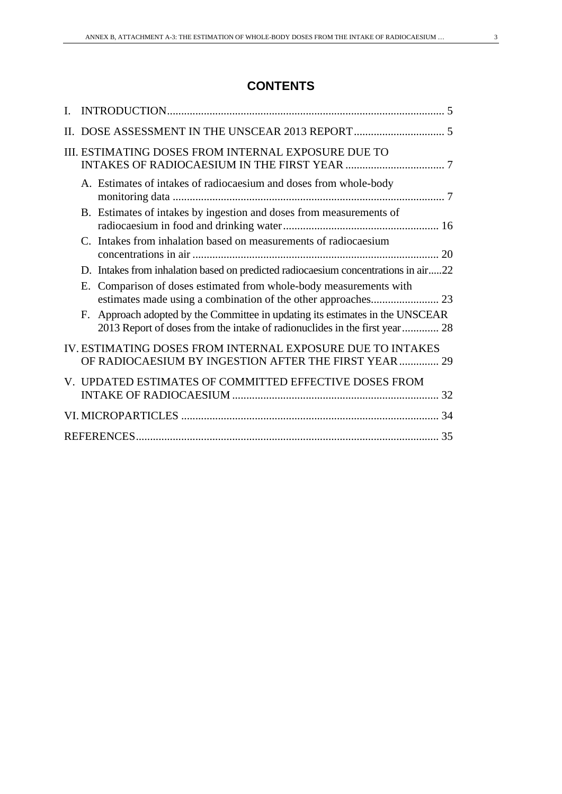# **CONTENTS**

| III. ESTIMATING DOSES FROM INTERNAL EXPOSURE DUE TO                                                                                                            |    |
|----------------------------------------------------------------------------------------------------------------------------------------------------------------|----|
| A. Estimates of intakes of radiocaesium and doses from whole-body                                                                                              |    |
| B. Estimates of intakes by ingestion and doses from measurements of                                                                                            |    |
| C. Intakes from inhalation based on measurements of radiocaesium                                                                                               |    |
| D. Intakes from inhalation based on predicted radiocaesium concentrations in air22                                                                             |    |
| Comparison of doses estimated from whole-body measurements with<br>Е.                                                                                          |    |
| Approach adopted by the Committee in updating its estimates in the UNSCEAR<br>F.<br>2013 Report of doses from the intake of radionuclides in the first year 28 |    |
| IV. ESTIMATING DOSES FROM INTERNAL EXPOSURE DUE TO INTAKES<br>OF RADIOCAESIUM BY INGESTION AFTER THE FIRST YEAR 29                                             |    |
| V. UPDATED ESTIMATES OF COMMITTED EFFECTIVE DOSES FROM                                                                                                         |    |
|                                                                                                                                                                |    |
|                                                                                                                                                                | 35 |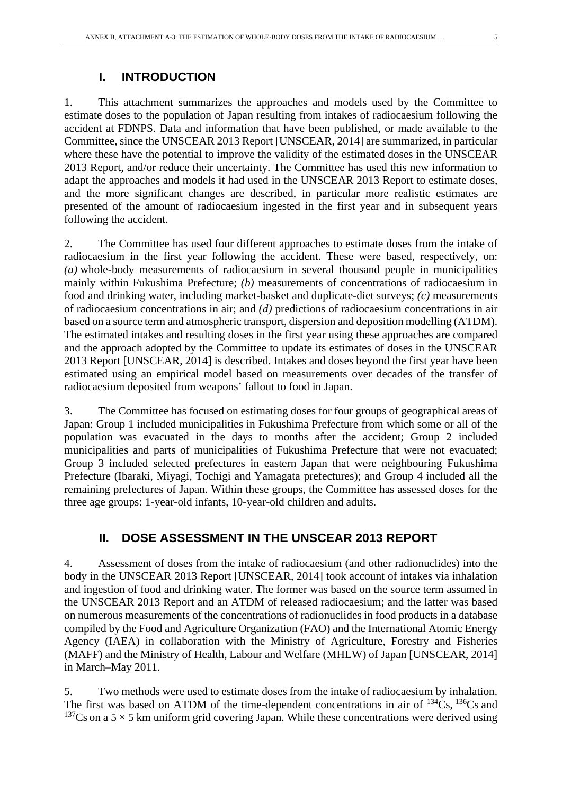1. This attachment summarizes the approaches and models used by the Committee to estimate doses to the population of Japan resulting from intakes of radiocaesium following the accident at FDNPS. Data and information that have been published, or made available to the Committee, since the UNSCEAR 2013 Report [UNSCEAR, 2014] are summarized, in particular where these have the potential to improve the validity of the estimated doses in the UNSCEAR 2013 Report, and/or reduce their uncertainty. The Committee has used this new information to adapt the approaches and models it had used in the UNSCEAR 2013 Report to estimate doses, and the more significant changes are described, in particular more realistic estimates are presented of the amount of radiocaesium ingested in the first year and in subsequent years following the accident.

2. The Committee has used four different approaches to estimate doses from the intake of radiocaesium in the first year following the accident. These were based, respectively, on: *(a)* whole-body measurements of radiocaesium in several thousand people in municipalities mainly within Fukushima Prefecture; *(b)* measurements of concentrations of radiocaesium in food and drinking water, including market-basket and duplicate-diet surveys; *(c)* measurements of radiocaesium concentrations in air; and *(d)* predictions of radiocaesium concentrations in air based on a source term and atmospheric transport, dispersion and deposition modelling (ATDM). The estimated intakes and resulting doses in the first year using these approaches are compared and the approach adopted by the Committee to update its estimates of doses in the UNSCEAR 2013 Report [UNSCEAR, 2014] is described. Intakes and doses beyond the first year have been estimated using an empirical model based on measurements over decades of the transfer of radiocaesium deposited from weapons' fallout to food in Japan.

3. The Committee has focused on estimating doses for four groups of geographical areas of Japan: Group 1 included municipalities in Fukushima Prefecture from which some or all of the population was evacuated in the days to months after the accident; Group 2 included municipalities and parts of municipalities of Fukushima Prefecture that were not evacuated; Group 3 included selected prefectures in eastern Japan that were neighbouring Fukushima Prefecture (Ibaraki, Miyagi, Tochigi and Yamagata prefectures); and Group 4 included all the remaining prefectures of Japan. Within these groups, the Committee has assessed doses for the three age groups: 1-year-old infants, 10-year-old children and adults.

# **II. DOSE ASSESSMENT IN THE UNSCEAR 2013 REPORT**

4. Assessment of doses from the intake of radiocaesium (and other radionuclides) into the body in the UNSCEAR 2013 Report [UNSCEAR, 2014] took account of intakes via inhalation and ingestion of food and drinking water. The former was based on the source term assumed in the UNSCEAR 2013 Report and an ATDM of released radiocaesium; and the latter was based on numerous measurements of the concentrations of radionuclides in food products in a database compiled by the Food and Agriculture Organization (FAO) and the International Atomic Energy Agency (IAEA) in collaboration with the Ministry of Agriculture, Forestry and Fisheries (MAFF) and the Ministry of Health, Labour and Welfare (MHLW) of Japan [UNSCEAR, 2014] in March–May 2011.

5. Two methods were used to estimate doses from the intake of radiocaesium by inhalation. The first was based on ATDM of the time-dependent concentrations in air of  $^{134}Cs$ ,  $^{136}Cs$  and <sup>137</sup>Cs on a 5  $\times$  5 km uniform grid covering Japan. While these concentrations were derived using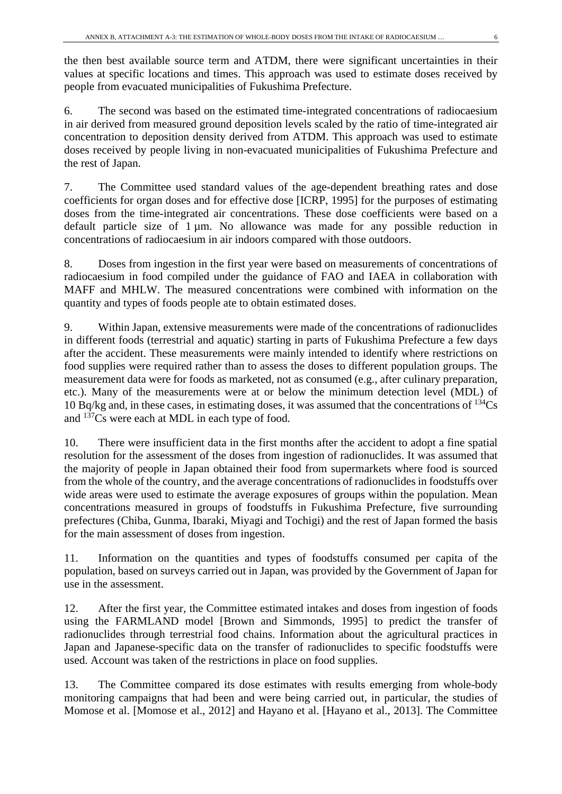the then best available source term and ATDM, there were significant uncertainties in their values at specific locations and times. This approach was used to estimate doses received by people from evacuated municipalities of Fukushima Prefecture.

6. The second was based on the estimated time-integrated concentrations of radiocaesium in air derived from measured ground deposition levels scaled by the ratio of time-integrated air concentration to deposition density derived from ATDM. This approach was used to estimate doses received by people living in non-evacuated municipalities of Fukushima Prefecture and the rest of Japan.

7. The Committee used standard values of the age-dependent breathing rates and dose coefficients for organ doses and for effective dose [ICRP, 1995] for the purposes of estimating doses from the time-integrated air concentrations. These dose coefficients were based on a default particle size of  $1 \mu m$ . No allowance was made for any possible reduction in concentrations of radiocaesium in air indoors compared with those outdoors.

8. Doses from ingestion in the first year were based on measurements of concentrations of radiocaesium in food compiled under the guidance of FAO and IAEA in collaboration with MAFF and MHLW. The measured concentrations were combined with information on the quantity and types of foods people ate to obtain estimated doses.

9. Within Japan, extensive measurements were made of the concentrations of radionuclides in different foods (terrestrial and aquatic) starting in parts of Fukushima Prefecture a few days after the accident. These measurements were mainly intended to identify where restrictions on food supplies were required rather than to assess the doses to different population groups. The measurement data were for foods as marketed, not as consumed (e.g., after culinary preparation, etc.). Many of the measurements were at or below the minimum detection level (MDL) of 10 Bq/kg and, in these cases, in estimating doses, it was assumed that the concentrations of  $^{134}Cs$ and  $137\text{Cs}$  were each at MDL in each type of food.

10. There were insufficient data in the first months after the accident to adopt a fine spatial resolution for the assessment of the doses from ingestion of radionuclides. It was assumed that the majority of people in Japan obtained their food from supermarkets where food is sourced from the whole of the country, and the average concentrations of radionuclides in foodstuffs over wide areas were used to estimate the average exposures of groups within the population. Mean concentrations measured in groups of foodstuffs in Fukushima Prefecture, five surrounding prefectures (Chiba, Gunma, Ibaraki, Miyagi and Tochigi) and the rest of Japan formed the basis for the main assessment of doses from ingestion.

11. Information on the quantities and types of foodstuffs consumed per capita of the population, based on surveys carried out in Japan, was provided by the Government of Japan for use in the assessment.

12. After the first year, the Committee estimated intakes and doses from ingestion of foods using the FARMLAND model [Brown and Simmonds, 1995] to predict the transfer of radionuclides through terrestrial food chains. Information about the agricultural practices in Japan and Japanese-specific data on the transfer of radionuclides to specific foodstuffs were used. Account was taken of the restrictions in place on food supplies.

13. The Committee compared its dose estimates with results emerging from whole-body monitoring campaigns that had been and were being carried out, in particular, the studies of Momose et al. [Momose et al., 2012] and Hayano et al. [Hayano et al., 2013]. The Committee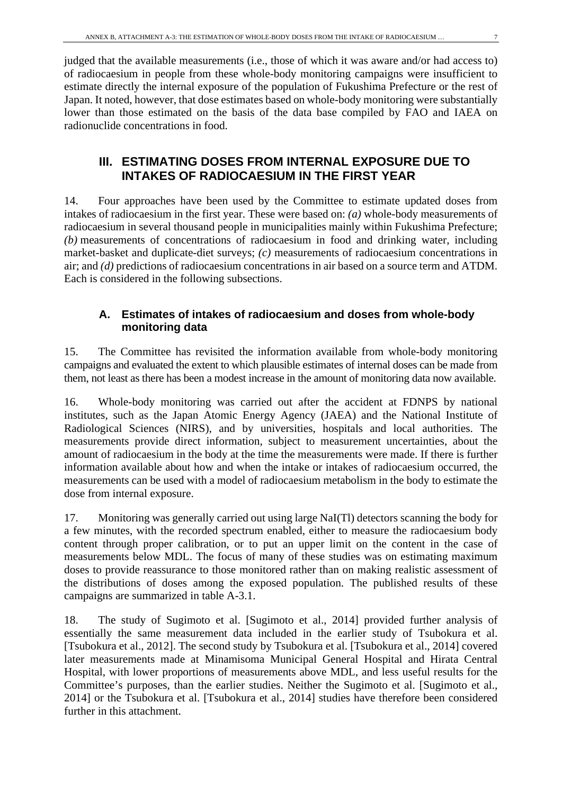judged that the available measurements (i.e., those of which it was aware and/or had access to) of radiocaesium in people from these whole-body monitoring campaigns were insufficient to estimate directly the internal exposure of the population of Fukushima Prefecture or the rest of Japan. It noted, however, that dose estimates based on whole-body monitoring were substantially lower than those estimated on the basis of the data base compiled by FAO and IAEA on radionuclide concentrations in food.

# **III. ESTIMATING DOSES FROM INTERNAL EXPOSURE DUE TO INTAKES OF RADIOCAESIUM IN THE FIRST YEAR**

14. Four approaches have been used by the Committee to estimate updated doses from intakes of radiocaesium in the first year. These were based on: *(a)* whole-body measurements of radiocaesium in several thousand people in municipalities mainly within Fukushima Prefecture; *(b)* measurements of concentrations of radiocaesium in food and drinking water, including market-basket and duplicate-diet surveys; *(c)* measurements of radiocaesium concentrations in air; and *(d)* predictions of radiocaesium concentrations in air based on a source term and ATDM. Each is considered in the following subsections.

# **A. Estimates of intakes of radiocaesium and doses from whole-body monitoring data**

15. The Committee has revisited the information available from whole-body monitoring campaigns and evaluated the extent to which plausible estimates of internal doses can be made from them, not least as there has been a modest increase in the amount of monitoring data now available.

16. Whole-body monitoring was carried out after the accident at FDNPS by national institutes, such as the Japan Atomic Energy Agency (JAEA) and the National Institute of Radiological Sciences (NIRS), and by universities, hospitals and local authorities. The measurements provide direct information, subject to measurement uncertainties, about the amount of radiocaesium in the body at the time the measurements were made. If there is further information available about how and when the intake or intakes of radiocaesium occurred, the measurements can be used with a model of radiocaesium metabolism in the body to estimate the dose from internal exposure.

17. Monitoring was generally carried out using large NaI(Tl) detectors scanning the body for a few minutes, with the recorded spectrum enabled, either to measure the radiocaesium body content through proper calibration, or to put an upper limit on the content in the case of measurements below MDL. The focus of many of these studies was on estimating maximum doses to provide reassurance to those monitored rather than on making realistic assessment of the distributions of doses among the exposed population. The published results of these campaigns are summarized in table A-3.1.

18. The study of Sugimoto et al. [Sugimoto et al., 2014] provided further analysis of essentially the same measurement data included in the earlier study of Tsubokura et al. [Tsubokura et al., 2012]. The second study by Tsubokura et al. [Tsubokura et al., 2014] covered later measurements made at Minamisoma Municipal General Hospital and Hirata Central Hospital, with lower proportions of measurements above MDL, and less useful results for the Committee's purposes, than the earlier studies. Neither the Sugimoto et al. [Sugimoto et al., 2014] or the Tsubokura et al. [Tsubokura et al., 2014] studies have therefore been considered further in this attachment.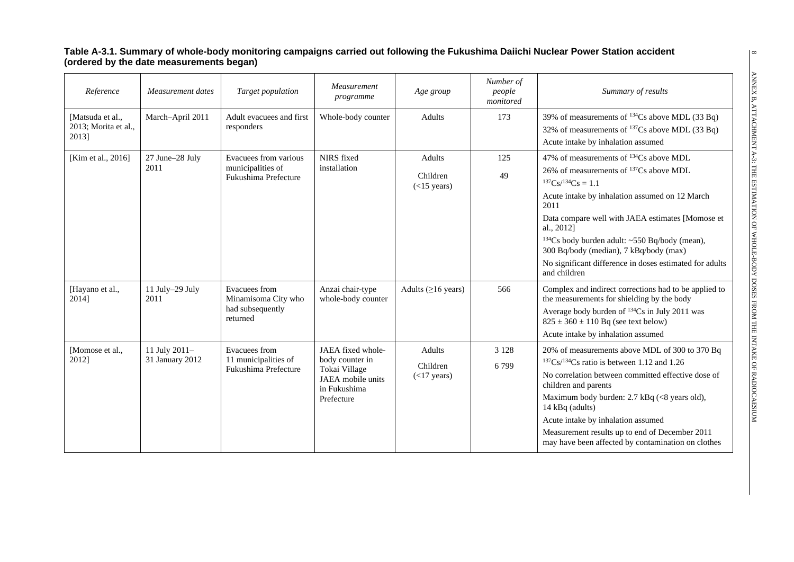#### **Table A-3.1. Summary of whole-body monitoring campaigns carried out following the Fukushima Daiichi Nuclear Power Station accident (ordered by the date measurements began)**

| Reference                                         | Measurement dates                | Target population                                                    | Measurement<br>programme                                                                                 | Age group                           | Number of<br>people<br>monitored | Summary of results                                                                                                                                                                                                                                                                                                                                                                                                                                 |
|---------------------------------------------------|----------------------------------|----------------------------------------------------------------------|----------------------------------------------------------------------------------------------------------|-------------------------------------|----------------------------------|----------------------------------------------------------------------------------------------------------------------------------------------------------------------------------------------------------------------------------------------------------------------------------------------------------------------------------------------------------------------------------------------------------------------------------------------------|
| [Matsuda et al.,<br>2013; Morita et al.,<br>2013] | March-April 2011                 | Adult evacuees and first<br>responders                               | Whole-body counter                                                                                       | Adults                              | 173                              | 39% of measurements of <sup>134</sup> Cs above MDL (33 Bq)<br>32% of measurements of <sup>137</sup> Cs above MDL (33 Bq)<br>Acute intake by inhalation assumed                                                                                                                                                                                                                                                                                     |
| [Kim et al., 2016]                                | 27 June-28 July<br>2011          | Evacuees from various<br>municipalities of<br>Fukushima Prefecture   | NIRS fixed<br>installation                                                                               | Adults<br>Children<br>$(<15$ years) | 125<br>49                        | 47% of measurements of <sup>134</sup> Cs above MDL<br>26% of measurements of $^{137}Cs$ above MDL<br>${}^{137}Cs / {}^{134}Cs = 1.1$<br>Acute intake by inhalation assumed on 12 March<br>2011<br>Data compare well with JAEA estimates [Momose et<br>al., 2012]<br><sup>134</sup> Cs body burden adult: ~550 Bq/body (mean),<br>300 Bq/body (median), 7 kBq/body (max)<br>No significant difference in doses estimated for adults<br>and children |
| [Hayano et al.,<br>2014]                          | 11 July-29 July<br>2011          | Evacuees from<br>Minamisoma City who<br>had subsequently<br>returned | Anzai chair-type<br>whole-body counter                                                                   | Adults ( $\geq$ 16 years)           | 566                              | Complex and indirect corrections had to be applied to<br>the measurements for shielding by the body<br>Average body burden of <sup>134</sup> Cs in July 2011 was<br>$825 \pm 360 \pm 110$ Bq (see text below)<br>Acute intake by inhalation assumed                                                                                                                                                                                                |
| [Momose et al.,<br>2012]                          | 11 July 2011-<br>31 January 2012 | Evacuees from<br>11 municipalities of<br>Fukushima Prefecture        | JAEA fixed whole-<br>body counter in<br>Tokai Village<br>JAEA mobile units<br>in Fukushima<br>Prefecture | Adults<br>Children<br>(<17 years)   | 3 1 2 8<br>6799                  | 20% of measurements above MDL of 300 to 370 Bq<br>$137Cs/134Cs$ ratio is between 1.12 and 1.26<br>No correlation between committed effective dose of<br>children and parents<br>Maximum body burden: 2.7 kBq (<8 years old),<br>14 kBq (adults)<br>Acute intake by inhalation assumed<br>Measurement results up to end of December 2011<br>may have been affected by contamination on clothes                                                      |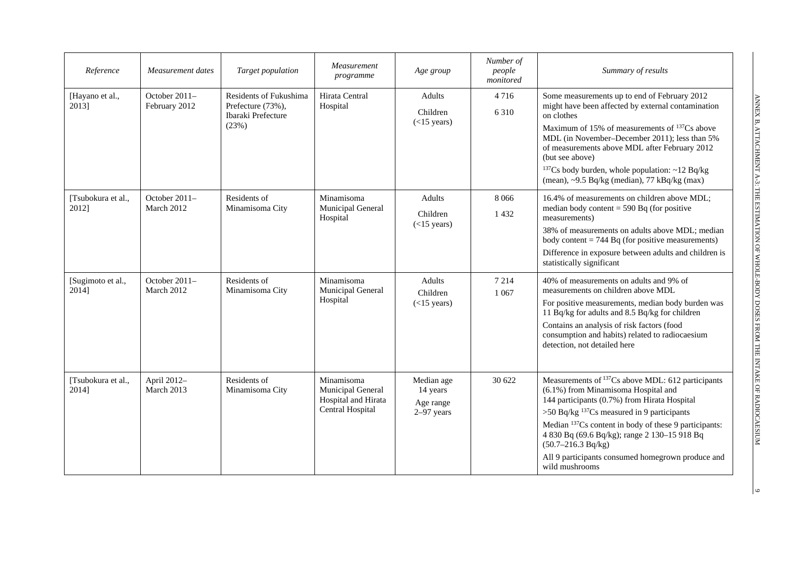| Reference                   | Measurement dates              | Target population                                                          | Measurement<br>programme                                                   | Age group                                           | Number of<br>people<br>monitored | Summary of results                                                                                                                                                                                                                                                                                                                                                                                                          |
|-----------------------------|--------------------------------|----------------------------------------------------------------------------|----------------------------------------------------------------------------|-----------------------------------------------------|----------------------------------|-----------------------------------------------------------------------------------------------------------------------------------------------------------------------------------------------------------------------------------------------------------------------------------------------------------------------------------------------------------------------------------------------------------------------------|
| [Hayano et al.,<br>2013]    | October 2011-<br>February 2012 | Residents of Fukushima<br>Prefecture (73%),<br>Ibaraki Prefecture<br>(23%) | Hirata Central<br>Hospital                                                 | <b>Adults</b><br>Children<br>$(<15$ years)          | 4 7 1 6<br>6 3 1 0               | Some measurements up to end of February 2012<br>might have been affected by external contamination<br>on clothes<br>Maximum of 15% of measurements of <sup>137</sup> Cs above<br>MDL (in November–December 2011); less than 5%<br>of measurements above MDL after February 2012<br>(but see above)<br><sup>137</sup> Cs body burden, whole population: $\sim$ 12 Bq/kg<br>(mean), ~9.5 Bq/kg (median), 77 kBq/kg (max)      |
| [Tsubokura et al.,<br>2012] | October 2011-<br>March 2012    | Residents of<br>Minamisoma City                                            | Minamisoma<br>Municipal General<br>Hospital                                | <b>Adults</b><br>Children<br>$(<15$ years)          | 8 0 6 6<br>1 4 3 2               | 16.4% of measurements on children above MDL;<br>median body content = $590$ Bq (for positive<br>measurements)<br>38% of measurements on adults above MDL; median<br>body content $= 744$ Bq (for positive measurements)<br>Difference in exposure between adults and children is<br>statistically significant                                                                                                               |
| [Sugimoto et al.,<br>2014]  | October 2011-<br>March 2012    | Residents of<br>Minamisoma City                                            | Minamisoma<br>Municipal General<br>Hospital                                | <b>Adults</b><br>Children<br>$(<15$ years)          | 7 2 1 4<br>1 0 67                | 40% of measurements on adults and 9% of<br>measurements on children above MDL<br>For positive measurements, median body burden was<br>11 Bq/kg for adults and 8.5 Bq/kg for children<br>Contains an analysis of risk factors (food<br>consumption and habits) related to radiocaesium<br>detection, not detailed here                                                                                                       |
| [Tsubokura et al.,<br>2014] | April 2012-<br>March 2013      | Residents of<br>Minamisoma City                                            | Minamisoma<br>Municipal General<br>Hospital and Hirata<br>Central Hospital | Median age<br>14 years<br>Age range<br>$2-97$ years | 30 622                           | Measurements of <sup>137</sup> Cs above MDL: 612 participants<br>(6.1%) from Minamisoma Hospital and<br>144 participants (0.7%) from Hirata Hospital<br>>50 Bq/kg $^{137}Cs$ measured in 9 participants<br>Median <sup>137</sup> Cs content in body of these 9 participants:<br>4 830 Bq (69.6 Bq/kg); range 2 130-15 918 Bq<br>$(50.7-216.3 Bq/kg)$<br>All 9 participants consumed homegrown produce and<br>wild mushrooms |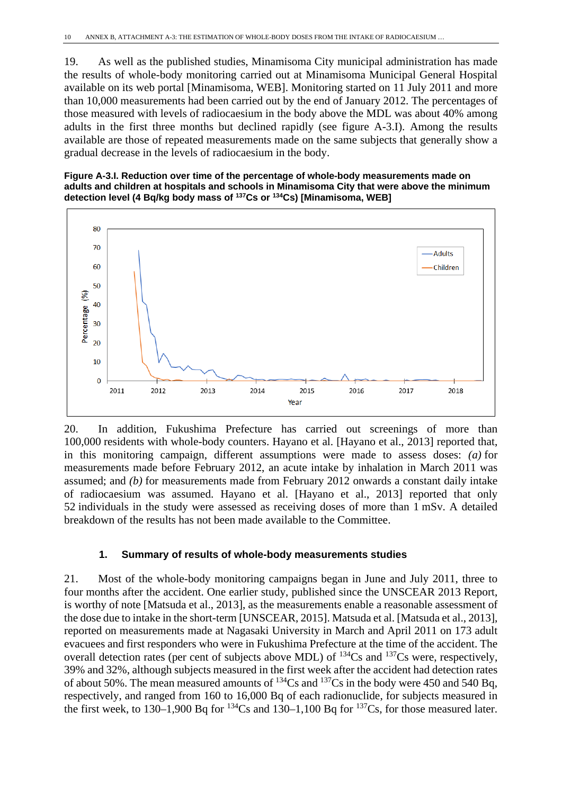19. As well as the published studies, Minamisoma City municipal administration has made the results of whole-body monitoring carried out at Minamisoma Municipal General Hospital available on its web portal [Minamisoma, WEB]. Monitoring started on 11 July 2011 and more than 10,000 measurements had been carried out by the end of January 2012. The percentages of those measured with levels of radiocaesium in the body above the MDL was about 40% among adults in the first three months but declined rapidly (see figure A-3.I). Among the results available are those of repeated measurements made on the same subjects that generally show a gradual decrease in the levels of radiocaesium in the body.

#### **Figure A-3.I. Reduction over time of the percentage of whole-body measurements made on adults and children at hospitals and schools in Minamisoma City that were above the minimum detection level (4 Bq/kg body mass of 137Cs or 134Cs) [Minamisoma, WEB]**



20. In addition, Fukushima Prefecture has carried out screenings of more than 100,000 residents with whole-body counters. Hayano et al. [Hayano et al., 2013] reported that, in this monitoring campaign, different assumptions were made to assess doses: *(a)* for measurements made before February 2012, an acute intake by inhalation in March 2011 was assumed; and *(b)* for measurements made from February 2012 onwards a constant daily intake of radiocaesium was assumed. Hayano et al. [Hayano et al., 2013] reported that only 52 individuals in the study were assessed as receiving doses of more than 1 mSv. A detailed breakdown of the results has not been made available to the Committee.

### **1. Summary of results of whole-body measurements studies**

21. Most of the whole-body monitoring campaigns began in June and July 2011, three to four months after the accident. One earlier study, published since the UNSCEAR 2013 Report, is worthy of note [Matsuda et al., 2013], as the measurements enable a reasonable assessment of the dose due to intake in the short-term [UNSCEAR, 2015]. Matsuda et al. [Matsuda et al., 2013], reported on measurements made at Nagasaki University in March and April 2011 on 173 adult evacuees and first responders who were in Fukushima Prefecture at the time of the accident. The overall detection rates (per cent of subjects above MDL) of  $^{134}Cs$  and  $^{137}Cs$  were, respectively, 39% and 32%, although subjects measured in the first week after the accident had detection rates of about 50%. The mean measured amounts of  $^{134}Cs$  and  $^{137}Cs$  in the body were 450 and 540 Bq, respectively, and ranged from 160 to 16,000 Bq of each radionuclide, for subjects measured in the first week, to 130–1,900 Bq for  $^{134}Cs$  and 130–1,100 Bq for  $^{137}Cs$ , for those measured later.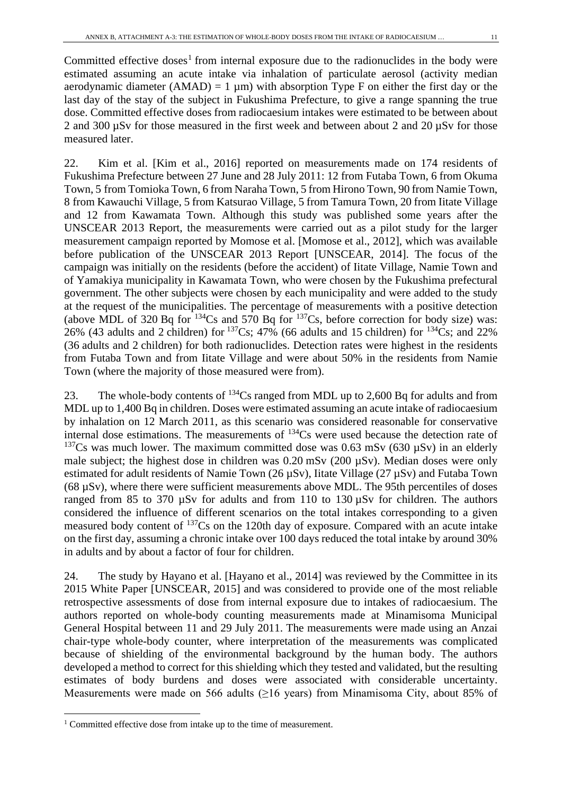Committed effective doses<sup>[1](#page-10-0)</sup> from internal exposure due to the radionuclides in the body were estimated assuming an acute intake via inhalation of particulate aerosol (activity median aerodynamic diameter (AMAD) = 1  $\mu$ m) with absorption Type F on either the first day or the last day of the stay of the subject in Fukushima Prefecture, to give a range spanning the true dose. Committed effective doses from radiocaesium intakes were estimated to be between about 2 and 300  $\mu$ Sv for those measured in the first week and between about 2 and 20  $\mu$ Sv for those measured later.

22. Kim et al. [Kim et al., 2016] reported on measurements made on 174 residents of Fukushima Prefecture between 27 June and 28 July 2011: 12 from Futaba Town, 6 from Okuma Town, 5 from Tomioka Town, 6 from Naraha Town, 5 from Hirono Town, 90 from Namie Town, 8 from Kawauchi Village, 5 from Katsurao Village, 5 from Tamura Town, 20 from Iitate Village and 12 from Kawamata Town. Although this study was published some years after the UNSCEAR 2013 Report, the measurements were carried out as a pilot study for the larger measurement campaign reported by Momose et al. [Momose et al., 2012], which was available before publication of the UNSCEAR 2013 Report [UNSCEAR, 2014]. The focus of the campaign was initially on the residents (before the accident) of Iitate Village, Namie Town and of Yamakiya municipality in Kawamata Town, who were chosen by the Fukushima prefectural government. The other subjects were chosen by each municipality and were added to the study at the request of the municipalities. The percentage of measurements with a positive detection (above MDL of 320 Bq for  $^{134}Cs$  and 570 Bq for  $^{137}Cs$ , before correction for body size) was: 26% (43 adults and 2 children) for  $137Cs$ ; 47% (66 adults and 15 children) for  $134Cs$ ; and 22% (36 adults and 2 children) for both radionuclides. Detection rates were highest in the residents from Futaba Town and from Iitate Village and were about 50% in the residents from Namie Town (where the majority of those measured were from).

23. The whole-body contents of  $^{134}Cs$  ranged from MDL up to 2,600 Bq for adults and from MDL up to 1,400 Bq in children. Doses were estimated assuming an acute intake of radiocaesium by inhalation on 12 March 2011, as this scenario was considered reasonable for conservative internal dose estimations. The measurements of  $^{134}Cs$  were used because the detection rate of <sup>137</sup>Cs was much lower. The maximum committed dose was 0.63 mSv (630  $\mu$ Sv) in an elderly male subject; the highest dose in children was  $0.20$  mSv  $(200 \mu Sv)$ . Median doses were only estimated for adult residents of Namie Town (26  $\mu$ Sv), Iitate Village (27  $\mu$ Sv) and Futaba Town (68 µSv), where there were sufficient measurements above MDL. The 95th percentiles of doses ranged from 85 to 370  $\mu$ Sv for adults and from 110 to 130  $\mu$ Sv for children. The authors considered the influence of different scenarios on the total intakes corresponding to a given measured body content of 137Cs on the 120th day of exposure. Compared with an acute intake on the first day, assuming a chronic intake over 100 days reduced the total intake by around 30% in adults and by about a factor of four for children.

24. The study by Hayano et al. [Hayano et al., 2014] was reviewed by the Committee in its 2015 White Paper [UNSCEAR, 2015] and was considered to provide one of the most reliable retrospective assessments of dose from internal exposure due to intakes of radiocaesium. The authors reported on whole-body counting measurements made at Minamisoma Municipal General Hospital between 11 and 29 July 2011. The measurements were made using an Anzai chair-type whole-body counter, where interpretation of the measurements was complicated because of shielding of the environmental background by the human body. The authors developed a method to correct for this shielding which they tested and validated, but the resulting estimates of body burdens and doses were associated with considerable uncertainty. Measurements were made on 566 adults ( $\geq$ 16 years) from Minamisoma City, about 85% of

<span id="page-10-0"></span><sup>&</sup>lt;sup>1</sup> Committed effective dose from intake up to the time of measurement.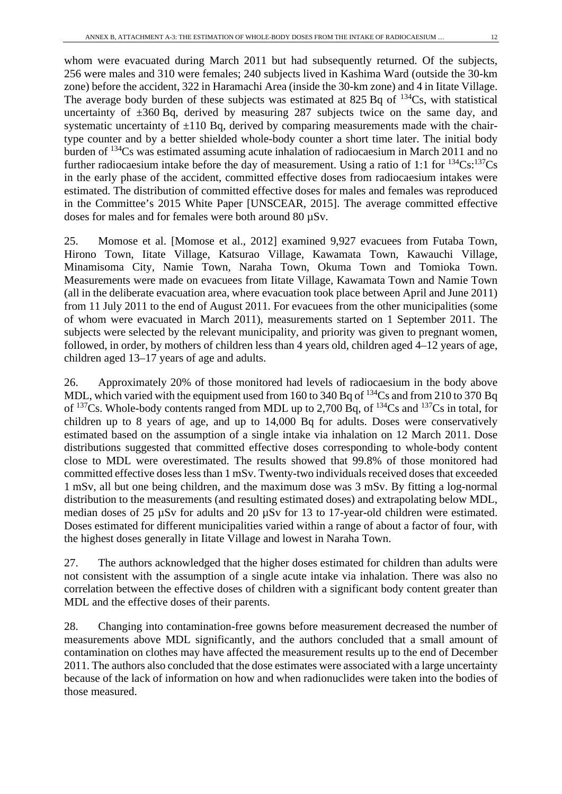whom were evacuated during March 2011 but had subsequently returned. Of the subjects, 256 were males and 310 were females; 240 subjects lived in Kashima Ward (outside the 30-km zone) before the accident, 322 in Haramachi Area (inside the 30-km zone) and 4 in Iitate Village. The average body burden of these subjects was estimated at 825 Bq of  $^{134}Cs$ , with statistical uncertainty of  $\pm 360$  Bq, derived by measuring 287 subjects twice on the same day, and systematic uncertainty of  $\pm 110$  Bq, derived by comparing measurements made with the chairtype counter and by a better shielded whole-body counter a short time later. The initial body burden of 134Cs was estimated assuming acute inhalation of radiocaesium in March 2011 and no further radiocaesium intake before the day of measurement. Using a ratio of 1:1 for  $^{134}Cs$ :  $^{137}Cs$ in the early phase of the accident, committed effective doses from radiocaesium intakes were estimated. The distribution of committed effective doses for males and females was reproduced in the Committee's 2015 White Paper [UNSCEAR, 2015]. The average committed effective doses for males and for females were both around 80 µSv.

25. Momose et al. [Momose et al., 2012] examined 9,927 evacuees from Futaba Town, Hirono Town, Iitate Village, Katsurao Village, Kawamata Town, Kawauchi Village, Minamisoma City, Namie Town, Naraha Town, Okuma Town and Tomioka Town. Measurements were made on evacuees from Iitate Village, Kawamata Town and Namie Town (all in the deliberate evacuation area, where evacuation took place between April and June 2011) from 11 July 2011 to the end of August 2011. For evacuees from the other municipalities (some of whom were evacuated in March 2011), measurements started on 1 September 2011. The subjects were selected by the relevant municipality, and priority was given to pregnant women, followed, in order, by mothers of children less than 4 years old, children aged 4–12 years of age, children aged 13–17 years of age and adults.

26. Approximately 20% of those monitored had levels of radiocaesium in the body above MDL, which varied with the equipment used from 160 to 340 Bq of <sup>134</sup>Cs and from 210 to 370 Bq of <sup>137</sup>Cs. Whole-body contents ranged from MDL up to 2,700 Bq, of <sup>134</sup>Cs and <sup>137</sup>Cs in total, for children up to 8 years of age, and up to 14,000 Bq for adults. Doses were conservatively estimated based on the assumption of a single intake via inhalation on 12 March 2011. Dose distributions suggested that committed effective doses corresponding to whole-body content close to MDL were overestimated. The results showed that 99.8% of those monitored had committed effective doses less than 1 mSv. Twenty-two individuals received doses that exceeded 1 mSv, all but one being children, and the maximum dose was 3 mSv. By fitting a log-normal distribution to the measurements (and resulting estimated doses) and extrapolating below MDL, median doses of 25 µSv for adults and 20 µSv for 13 to 17-year-old children were estimated. Doses estimated for different municipalities varied within a range of about a factor of four, with the highest doses generally in Iitate Village and lowest in Naraha Town.

27. The authors acknowledged that the higher doses estimated for children than adults were not consistent with the assumption of a single acute intake via inhalation. There was also no correlation between the effective doses of children with a significant body content greater than MDL and the effective doses of their parents.

28. Changing into contamination-free gowns before measurement decreased the number of measurements above MDL significantly, and the authors concluded that a small amount of contamination on clothes may have affected the measurement results up to the end of December 2011. The authors also concluded that the dose estimates were associated with a large uncertainty because of the lack of information on how and when radionuclides were taken into the bodies of those measured.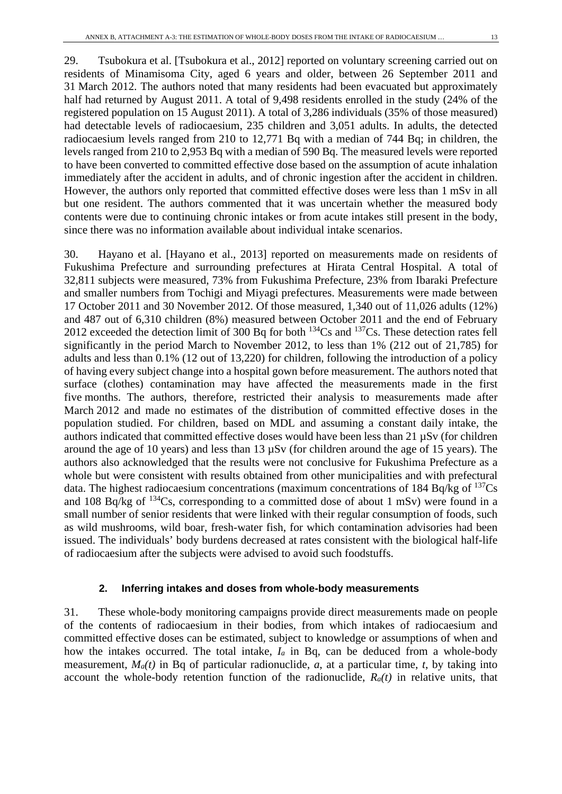29. Tsubokura et al. [Tsubokura et al., 2012] reported on voluntary screening carried out on residents of Minamisoma City, aged 6 years and older, between 26 September 2011 and 31 March 2012. The authors noted that many residents had been evacuated but approximately half had returned by August 2011. A total of 9,498 residents enrolled in the study (24% of the registered population on 15 August 2011). A total of 3,286 individuals (35% of those measured) had detectable levels of radiocaesium, 235 children and 3,051 adults. In adults, the detected radiocaesium levels ranged from 210 to 12,771 Bq with a median of 744 Bq; in children, the levels ranged from 210 to 2,953 Bq with a median of 590 Bq. The measured levels were reported to have been converted to committed effective dose based on the assumption of acute inhalation immediately after the accident in adults, and of chronic ingestion after the accident in children. However, the authors only reported that committed effective doses were less than 1 mSv in all but one resident. The authors commented that it was uncertain whether the measured body contents were due to continuing chronic intakes or from acute intakes still present in the body, since there was no information available about individual intake scenarios.

30. Hayano et al. [Hayano et al., 2013] reported on measurements made on residents of Fukushima Prefecture and surrounding prefectures at Hirata Central Hospital. A total of 32,811 subjects were measured, 73% from Fukushima Prefecture, 23% from Ibaraki Prefecture and smaller numbers from Tochigi and Miyagi prefectures. Measurements were made between 17 October 2011 and 30 November 2012. Of those measured, 1,340 out of 11,026 adults (12%) and 487 out of 6,310 children (8%) measured between October 2011 and the end of February 2012 exceeded the detection limit of 300 Bq for both  $^{134}Cs$  and  $^{137}Cs$ . These detection rates fell significantly in the period March to November 2012, to less than 1% (212 out of 21,785) for adults and less than 0.1% (12 out of 13,220) for children, following the introduction of a policy of having every subject change into a hospital gown before measurement. The authors noted that surface (clothes) contamination may have affected the measurements made in the first five months. The authors, therefore, restricted their analysis to measurements made after March 2012 and made no estimates of the distribution of committed effective doses in the population studied. For children, based on MDL and assuming a constant daily intake, the authors indicated that committed effective doses would have been less than  $21 \mu Sv$  (for children around the age of 10 years) and less than 13 µSv (for children around the age of 15 years). The authors also acknowledged that the results were not conclusive for Fukushima Prefecture as a whole but were consistent with results obtained from other municipalities and with prefectural data. The highest radiocaesium concentrations (maximum concentrations of 184 Bq/kg of  $^{137}Cs$ and 108 Bq/kg of  $134Cs$ , corresponding to a committed dose of about 1 mSv) were found in a small number of senior residents that were linked with their regular consumption of foods, such as wild mushrooms, wild boar, fresh-water fish, for which contamination advisories had been issued. The individuals' body burdens decreased at rates consistent with the biological half-life of radiocaesium after the subjects were advised to avoid such foodstuffs.

#### **2. Inferring intakes and doses from whole-body measurements**

31. These whole-body monitoring campaigns provide direct measurements made on people of the contents of radiocaesium in their bodies, from which intakes of radiocaesium and committed effective doses can be estimated, subject to knowledge or assumptions of when and how the intakes occurred. The total intake, *Ia* in Bq, can be deduced from a whole-body measurement, *Ma(t)* in Bq of particular radionuclide, *a*, at a particular time, *t*, by taking into account the whole-body retention function of the radionuclide, *Ra(t)* in relative units, that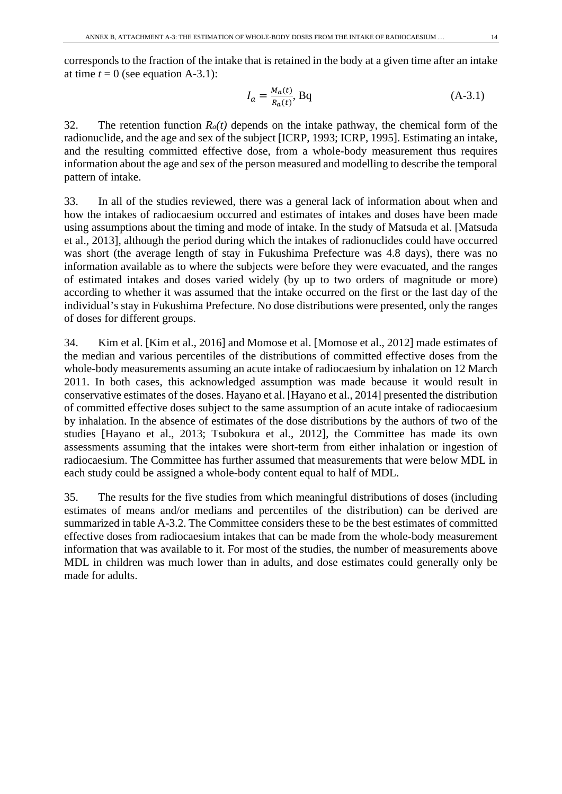corresponds to the fraction of the intake that is retained in the body at a given time after an intake at time  $t = 0$  (see equation A-3.1):

$$
I_a = \frac{M_a(t)}{R_a(t)}, \text{Bq} \tag{A-3.1}
$$

32. The retention function  $R_a(t)$  depends on the intake pathway, the chemical form of the radionuclide, and the age and sex of the subject [ICRP, 1993; ICRP, 1995]. Estimating an intake, and the resulting committed effective dose, from a whole-body measurement thus requires information about the age and sex of the person measured and modelling to describe the temporal pattern of intake.

33. In all of the studies reviewed, there was a general lack of information about when and how the intakes of radiocaesium occurred and estimates of intakes and doses have been made using assumptions about the timing and mode of intake. In the study of Matsuda et al. [Matsuda et al., 2013], although the period during which the intakes of radionuclides could have occurred was short (the average length of stay in Fukushima Prefecture was 4.8 days), there was no information available as to where the subjects were before they were evacuated, and the ranges of estimated intakes and doses varied widely (by up to two orders of magnitude or more) according to whether it was assumed that the intake occurred on the first or the last day of the individual's stay in Fukushima Prefecture. No dose distributions were presented, only the ranges of doses for different groups.

34. Kim et al. [Kim et al., 2016] and Momose et al. [Momose et al., 2012] made estimates of the median and various percentiles of the distributions of committed effective doses from the whole-body measurements assuming an acute intake of radiocaesium by inhalation on 12 March 2011. In both cases, this acknowledged assumption was made because it would result in conservative estimates of the doses. Hayano et al. [Hayano et al., 2014] presented the distribution of committed effective doses subject to the same assumption of an acute intake of radiocaesium by inhalation. In the absence of estimates of the dose distributions by the authors of two of the studies [Hayano et al., 2013; Tsubokura et al., 2012], the Committee has made its own assessments assuming that the intakes were short-term from either inhalation or ingestion of radiocaesium. The Committee has further assumed that measurements that were below MDL in each study could be assigned a whole-body content equal to half of MDL.

35. The results for the five studies from which meaningful distributions of doses (including estimates of means and/or medians and percentiles of the distribution) can be derived are summarized in table A-3.2. The Committee considers these to be the best estimates of committed effective doses from radiocaesium intakes that can be made from the whole-body measurement information that was available to it. For most of the studies, the number of measurements above MDL in children was much lower than in adults, and dose estimates could generally only be made for adults.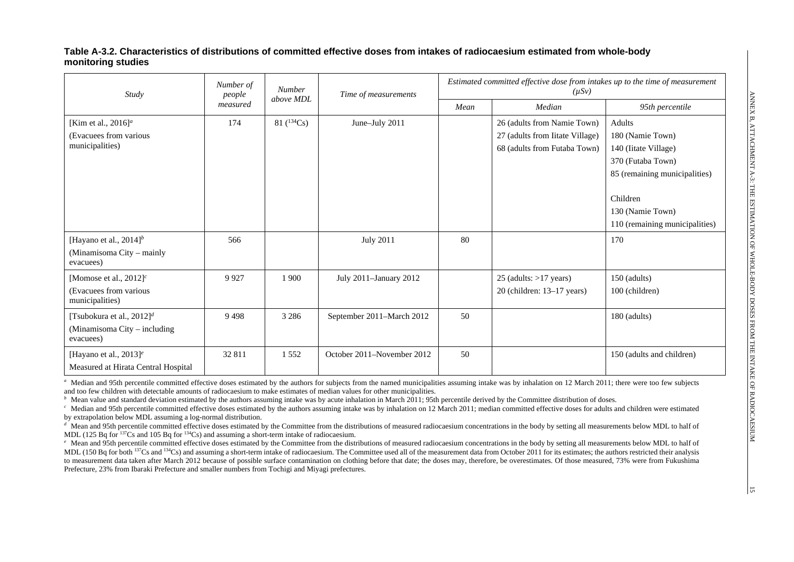#### **Table A-3.2. Characteristics of distributions of committed effective doses from intakes of radiocaesium estimated from whole-body monitoring studies**

| Study                                                                                  | Number of<br>people | <b>Number</b>   | Time of measurements       | Estimated committed effective dose from intakes up to the time of measurement<br>$(\mu Sv)$ |                                                                                                |                                                                                                                                          |  |
|----------------------------------------------------------------------------------------|---------------------|-----------------|----------------------------|---------------------------------------------------------------------------------------------|------------------------------------------------------------------------------------------------|------------------------------------------------------------------------------------------------------------------------------------------|--|
|                                                                                        | measured            | above MDL       |                            | Mean                                                                                        | Median                                                                                         | 95th percentile                                                                                                                          |  |
| [Kim et al., $2016$ ] <sup><i>a</i></sup><br>(Evacuees from various<br>municipalities) | 174                 | 81 $(^{134}Cs)$ | June-July 2011             |                                                                                             | 26 (adults from Namie Town)<br>27 (adults from Iitate Village)<br>68 (adults from Futaba Town) | Adults<br>180 (Namie Town)<br>140 (Iitate Village)<br>370 (Futaba Town)<br>85 (remaining municipalities)<br>Children<br>130 (Namie Town) |  |
| [Hayano et al., $2014$ ] <sup>b</sup><br>(Minamisoma City - mainly<br>evacuees)        | 566                 |                 | <b>July 2011</b>           | 80                                                                                          |                                                                                                | 110 (remaining municipalities)<br>170                                                                                                    |  |
| [Momose et al., $2012$ ] <sup>c</sup><br>(Evacuees from various<br>municipalities)     | 9927                | 1 900           | July 2011-January 2012     |                                                                                             | $25$ (adults: $>17$ years)<br>$20$ (children: 13–17 years)                                     | 150 (adults)<br>100 (children)                                                                                                           |  |
| [Tsubokura et al., $2012$ ] <sup>d</sup><br>(Minamisoma City – including<br>evacuees)  | 9498                | 3 2 8 6         | September 2011-March 2012  | 50                                                                                          |                                                                                                | 180 (adults)                                                                                                                             |  |
| [Hayano et al., $2013$ ] <sup>e</sup><br>Measured at Hirata Central Hospital           | 32 811              | 1 5 5 2         | October 2011–November 2012 | 50                                                                                          |                                                                                                | 150 (adults and children)                                                                                                                |  |

<sup>a</sup> Median and 95th percentile committed effective doses estimated by the authors for subjects from the named municipalities assuming intake was by inhalation on 12 March 2011; there were too few subjects and too few children with detectable amounts of radiocaesium to make estimates of median values for other municipalities.

<sup>*b*</sup> Mean value and standard deviation estimated by the authors assuming intake was by acute inhalation in March 2011; 95th percentile derived by the Committee distribution of doses.

<sup>c</sup> Median and 95th percentile committed effective doses estimated by the authors assuming intake was by inhalation on 12 March 2011; median committed effective doses for adults and children were estimated by extrapolation below MDL assuming a log-normal distribution.

<sup>d</sup> Mean and 95th percentile committed effective doses estimated by the Committee from the distributions of measured radiocaesium concentrations in the body by setting all measurements below MDL to half of MDL (125 Bq for  $^{137}Cs$  and 105 Bq for  $^{134}Cs$ ) and assuming a short-term intake of radiocaesium.

*<sup>e</sup>* Mean and 95th percentile committed effective doses estimated by the Committee from the distributions of measured radiocaesium concentrations in the body by setting all measurements below MDL to half of MDL (150 Bq for both <sup>137</sup>Cs and <sup>134</sup>Cs) and assuming a short-term intake of radiocaesium. The Committee used all of the measurement data from October 2011 for its estimates; the authors restricted their analysis to measurement data taken after March 2012 because of possible surface contamination on clothing before that date; the doses may, therefore, be overestimates. Of those measured, 73% were from Fukushima Prefecture, 23% from Ibaraki Prefecture and smaller numbers from Tochigi and Miyagi prefectures.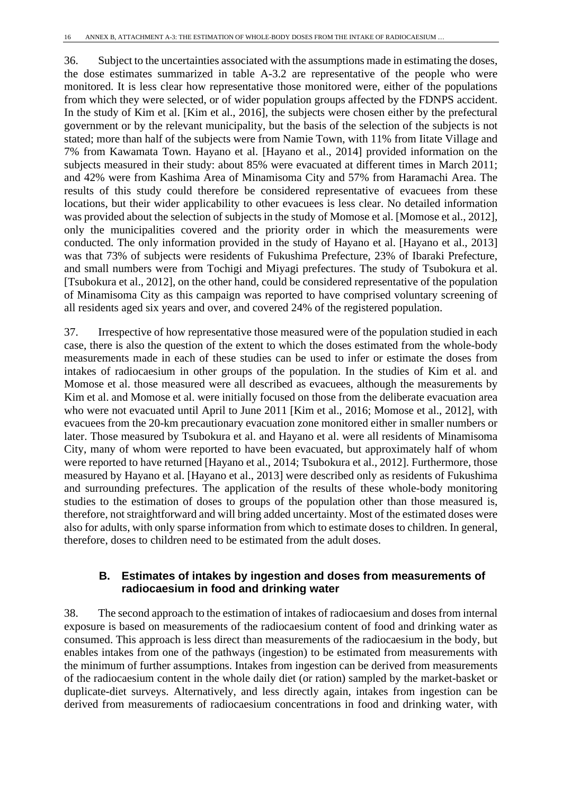36. Subject to the uncertainties associated with the assumptions made in estimating the doses, the dose estimates summarized in table A-3.2 are representative of the people who were monitored. It is less clear how representative those monitored were, either of the populations from which they were selected, or of wider population groups affected by the FDNPS accident. In the study of Kim et al. [Kim et al., 2016], the subjects were chosen either by the prefectural government or by the relevant municipality, but the basis of the selection of the subjects is not stated; more than half of the subjects were from Namie Town, with 11% from Iitate Village and 7% from Kawamata Town. Hayano et al. [Hayano et al., 2014] provided information on the subjects measured in their study: about 85% were evacuated at different times in March 2011; and 42% were from Kashima Area of Minamisoma City and 57% from Haramachi Area. The results of this study could therefore be considered representative of evacuees from these locations, but their wider applicability to other evacuees is less clear. No detailed information was provided about the selection of subjects in the study of Momose et al. [Momose et al., 2012], only the municipalities covered and the priority order in which the measurements were conducted. The only information provided in the study of Hayano et al. [Hayano et al., 2013] was that 73% of subjects were residents of Fukushima Prefecture, 23% of Ibaraki Prefecture, and small numbers were from Tochigi and Miyagi prefectures. The study of Tsubokura et al. [Tsubokura et al., 2012], on the other hand, could be considered representative of the population of Minamisoma City as this campaign was reported to have comprised voluntary screening of all residents aged six years and over, and covered 24% of the registered population.

37. Irrespective of how representative those measured were of the population studied in each case, there is also the question of the extent to which the doses estimated from the whole-body measurements made in each of these studies can be used to infer or estimate the doses from intakes of radiocaesium in other groups of the population. In the studies of Kim et al. and Momose et al. those measured were all described as evacuees, although the measurements by Kim et al. and Momose et al. were initially focused on those from the deliberate evacuation area who were not evacuated until April to June 2011 [Kim et al., 2016; Momose et al., 2012], with evacuees from the 20-km precautionary evacuation zone monitored either in smaller numbers or later. Those measured by Tsubokura et al. and Hayano et al. were all residents of Minamisoma City, many of whom were reported to have been evacuated, but approximately half of whom were reported to have returned [Hayano et al., 2014; Tsubokura et al., 2012]. Furthermore, those measured by Hayano et al. [Hayano et al., 2013] were described only as residents of Fukushima and surrounding prefectures. The application of the results of these whole-body monitoring studies to the estimation of doses to groups of the population other than those measured is, therefore, not straightforward and will bring added uncertainty. Most of the estimated doses were also for adults, with only sparse information from which to estimate doses to children. In general, therefore, doses to children need to be estimated from the adult doses.

### **B. Estimates of intakes by ingestion and doses from measurements of radiocaesium in food and drinking water**

38. The second approach to the estimation of intakes of radiocaesium and doses from internal exposure is based on measurements of the radiocaesium content of food and drinking water as consumed. This approach is less direct than measurements of the radiocaesium in the body, but enables intakes from one of the pathways (ingestion) to be estimated from measurements with the minimum of further assumptions. Intakes from ingestion can be derived from measurements of the radiocaesium content in the whole daily diet (or ration) sampled by the market-basket or duplicate-diet surveys. Alternatively, and less directly again, intakes from ingestion can be derived from measurements of radiocaesium concentrations in food and drinking water, with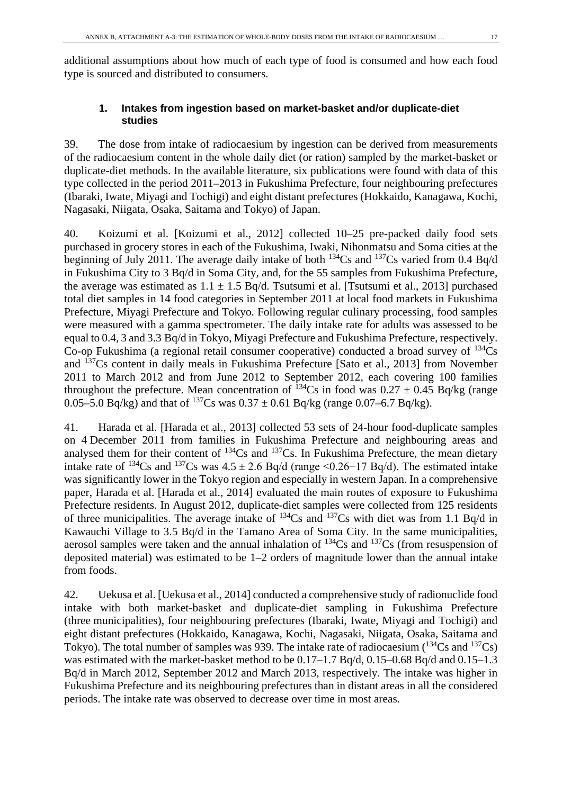additional assumptions about how much of each type of food is consumed and how each food type is sourced and distributed to consumers.

### **1. Intakes from ingestion based on market-basket and/or duplicate-diet studies**

39. The dose from intake of radiocaesium by ingestion can be derived from measurements of the radiocaesium content in the whole daily diet (or ration) sampled by the market-basket or duplicate-diet methods. In the available literature, six publications were found with data of this type collected in the period 2011–2013 in Fukushima Prefecture, four neighbouring prefectures (Ibaraki, Iwate, Miyagi and Tochigi) and eight distant prefectures (Hokkaido, Kanagawa, Kochi, Nagasaki, Niigata, Osaka, Saitama and Tokyo) of Japan.

40. Koizumi et al. [Koizumi et al., 2012] collected 10–25 pre-packed daily food sets purchased in grocery stores in each of the Fukushima, Iwaki, Nihonmatsu and Soma cities at the beginning of July 2011. The average daily intake of both  $^{134}Cs$  and  $^{137}Cs$  varied from 0.4 Bq/d in Fukushima City to 3 Bq/d in Soma City, and, for the 55 samples from Fukushima Prefecture, the average was estimated as  $1.1 \pm 1.5$  Bq/d. Tsutsumi et al. [Tsutsumi et al., 2013] purchased total diet samples in 14 food categories in September 2011 at local food markets in Fukushima Prefecture, Miyagi Prefecture and Tokyo. Following regular culinary processing, food samples were measured with a gamma spectrometer. The daily intake rate for adults was assessed to be equal to 0.4, 3 and 3.3 Bq/d in Tokyo, Miyagi Prefecture and Fukushima Prefecture, respectively. Co-op Fukushima (a regional retail consumer cooperative) conducted a broad survey of  $^{134}Cs$ and 137Cs content in daily meals in Fukushima Prefecture [Sato et al., 2013] from November 2011 to March 2012 and from June 2012 to September 2012, each covering 100 families throughout the prefecture. Mean concentration of <sup>134</sup>Cs in food was  $0.27 \pm 0.45$  Bq/kg (range 0.05–5.0 Bq/kg) and that of <sup>137</sup>Cs was  $0.37 \pm 0.61$  Bq/kg (range 0.07–6.7 Bq/kg).

41. Harada et al. [Harada et al., 2013] collected 53 sets of 24-hour food-duplicate samples on 4 December 2011 from families in Fukushima Prefecture and neighbouring areas and analysed them for their content of  $^{134}Cs$  and  $^{137}Cs$ . In Fukushima Prefecture, the mean dietary intake rate of <sup>134</sup>Cs and <sup>137</sup>Cs was  $4.5 \pm 2.6$  Bq/d (range <0.26−17 Bq/d). The estimated intake was significantly lower in the Tokyo region and especially in western Japan. In a comprehensive paper, Harada et al. [Harada et al., 2014] evaluated the main routes of exposure to Fukushima Prefecture residents. In August 2012, duplicate-diet samples were collected from 125 residents of three municipalities. The average intake of 134Cs and 137Cs with diet was from 1.1 Bq/d in Kawauchi Village to 3.5 Bq/d in the Tamano Area of Soma City. In the same municipalities, aerosol samples were taken and the annual inhalation of  $^{134}Cs$  and  $^{137}Cs$  (from resuspension of deposited material) was estimated to be 1–2 orders of magnitude lower than the annual intake from foods.

42. Uekusa et al. [Uekusa et al., 2014] conducted a comprehensive study of radionuclide food intake with both market-basket and duplicate-diet sampling in Fukushima Prefecture (three municipalities), four neighbouring prefectures (Ibaraki, Iwate, Miyagi and Tochigi) and eight distant prefectures (Hokkaido, Kanagawa, Kochi, Nagasaki, Niigata, Osaka, Saitama and Tokyo). The total number of samples was 939. The intake rate of radiocaesium ( $^{134}Cs$  and  $^{137}Cs$ ) was estimated with the market-basket method to be  $0.17-1.7$  Bq/d,  $0.15-0.68$  Bq/d and  $0.15-1.3$ Bq/d in March 2012, September 2012 and March 2013, respectively. The intake was higher in Fukushima Prefecture and its neighbouring prefectures than in distant areas in all the considered periods. The intake rate was observed to decrease over time in most areas.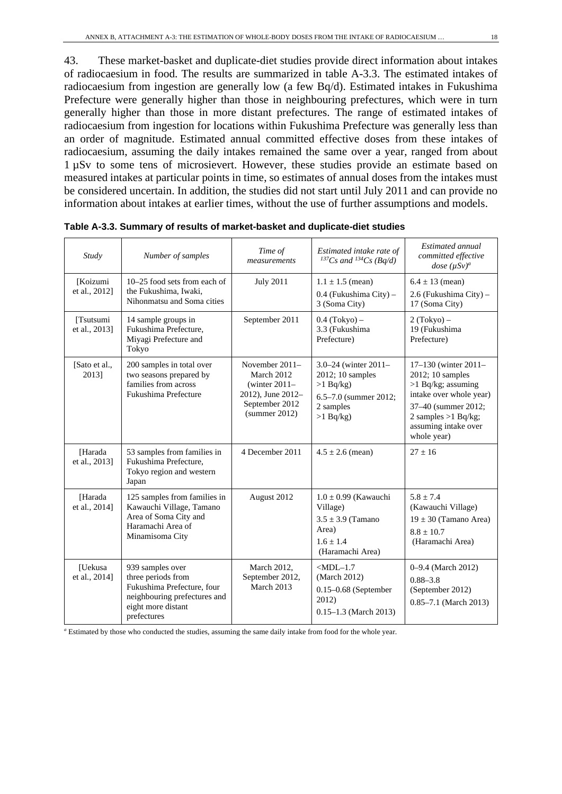43. These market-basket and duplicate-diet studies provide direct information about intakes of radiocaesium in food. The results are summarized in table A-3.3. The estimated intakes of radiocaesium from ingestion are generally low (a few Bq/d). Estimated intakes in Fukushima Prefecture were generally higher than those in neighbouring prefectures, which were in turn generally higher than those in more distant prefectures. The range of estimated intakes of radiocaesium from ingestion for locations within Fukushima Prefecture was generally less than an order of magnitude. Estimated annual committed effective doses from these intakes of radiocaesium, assuming the daily intakes remained the same over a year, ranged from about 1 µSv to some tens of microsievert. However, these studies provide an estimate based on measured intakes at particular points in time, so estimates of annual doses from the intakes must be considered uncertain. In addition, the studies did not start until July 2011 and can provide no information about intakes at earlier times, without the use of further assumptions and models.

| Study                           | Number of samples                                                                                                                         | Time of<br>measurements                                                                                   | Estimated intake rate of<br>$^{137}Cs$ and $^{134}Cs$ (Bq/d)                                                   | Estimated annual<br>committed effective<br>dose $(\mu Sv)^a$                                                                                                                           |
|---------------------------------|-------------------------------------------------------------------------------------------------------------------------------------------|-----------------------------------------------------------------------------------------------------------|----------------------------------------------------------------------------------------------------------------|----------------------------------------------------------------------------------------------------------------------------------------------------------------------------------------|
| [Koizumi<br>et al., 2012]       | 10–25 food sets from each of<br>the Fukushima, Iwaki,<br>Nihonmatsu and Soma cities                                                       | <b>July 2011</b>                                                                                          | $1.1 \pm 1.5$ (mean)<br>0.4 (Fukushima City) –<br>3 (Soma City)                                                | $6.4 \pm 13$ (mean)<br>2.6 (Fukushima City) –<br>17 (Soma City)                                                                                                                        |
| [Tsutsumi<br>et al., 2013]      | 14 sample groups in<br>Fukushima Prefecture,<br>Miyagi Prefecture and<br>Tokyo                                                            | September 2011                                                                                            | $0.4$ (Tokyo) –<br>3.3 (Fukushima<br>Prefecture)                                                               | $2$ (Tokyo) –<br>19 (Fukushima<br>Prefecture)                                                                                                                                          |
| [Sato et al.,<br>2013]          | 200 samples in total over<br>two seasons prepared by<br>families from across<br>Fukushima Prefecture                                      | November $2011-$<br>March 2012<br>(winter $2011-$<br>2012), June 2012-<br>September 2012<br>(summer 2012) | 3.0–24 (winter $2011-$<br>2012; 10 samples<br>$>1$ Bq/kg)<br>6.5–7.0 (summer 2012;<br>2 samples<br>$>1$ Bq/kg) | $17-130$ (winter $2011-$<br>2012; 10 samples<br>$>1$ Bq/kg; assuming<br>intake over whole year)<br>37-40 (summer 2012;<br>2 samples $>1$ Bq/kg;<br>assuming intake over<br>whole year) |
| [Harada<br>et al., 2013]        | 53 samples from families in<br>Fukushima Prefecture,<br>Tokyo region and western<br>Japan                                                 | 4 December 2011                                                                                           | $4.5 \pm 2.6$ (mean)                                                                                           | $27 \pm 16$                                                                                                                                                                            |
| [Harada]<br>et al., 2014]       | 125 samples from families in<br>Kawauchi Village, Tamano<br>Area of Soma City and<br>Haramachi Area of<br>Minamisoma City                 | August 2012                                                                                               | $1.0 \pm 0.99$ (Kawauchi<br>Village)<br>$3.5 \pm 3.9$ (Tamano<br>Area)<br>$1.6 \pm 1.4$<br>(Haramachi Area)    | $5.8 \pm 7.4$<br>(Kawauchi Village)<br>$19 \pm 30$ (Tamano Area)<br>$8.8 + 10.7$<br>(Haramachi Area)                                                                                   |
| <b>[Uekusa</b><br>et al., 2014] | 939 samples over<br>three periods from<br>Fukushima Prefecture, four<br>neighbouring prefectures and<br>eight more distant<br>prefectures | March 2012.<br>September 2012,<br>March 2013                                                              | $<$ MDL $-1.7$<br>(March 2012)<br>$0.15 - 0.68$ (September<br>2012)<br>$0.15-1.3$ (March 2013)                 | 0-9.4 (March 2012)<br>$0.88 - 3.8$<br>(September 2012)<br>$0.85 - 7.1$ (March 2013)                                                                                                    |

**Table A-3.3. Summary of results of market-basket and duplicate-diet studies**

*<sup>a</sup>* Estimated by those who conducted the studies, assuming the same daily intake from food for the whole year.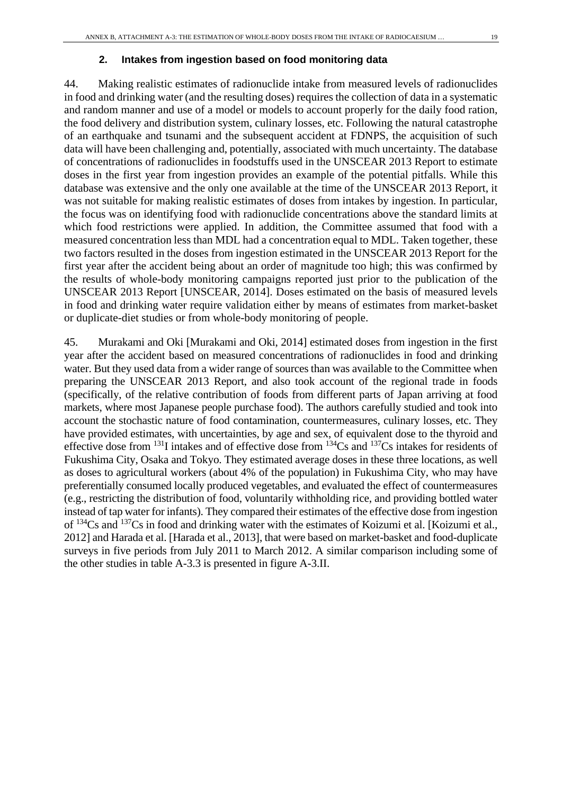44. Making realistic estimates of radionuclide intake from measured levels of radionuclides in food and drinking water (and the resulting doses) requires the collection of data in a systematic and random manner and use of a model or models to account properly for the daily food ration, the food delivery and distribution system, culinary losses, etc. Following the natural catastrophe of an earthquake and tsunami and the subsequent accident at FDNPS, the acquisition of such data will have been challenging and, potentially, associated with much uncertainty. The database of concentrations of radionuclides in foodstuffs used in the UNSCEAR 2013 Report to estimate doses in the first year from ingestion provides an example of the potential pitfalls. While this database was extensive and the only one available at the time of the UNSCEAR 2013 Report, it was not suitable for making realistic estimates of doses from intakes by ingestion. In particular, the focus was on identifying food with radionuclide concentrations above the standard limits at which food restrictions were applied. In addition, the Committee assumed that food with a measured concentration less than MDL had a concentration equal to MDL. Taken together, these two factors resulted in the doses from ingestion estimated in the UNSCEAR 2013 Report for the first year after the accident being about an order of magnitude too high; this was confirmed by the results of whole-body monitoring campaigns reported just prior to the publication of the UNSCEAR 2013 Report [UNSCEAR, 2014]. Doses estimated on the basis of measured levels in food and drinking water require validation either by means of estimates from market-basket or duplicate-diet studies or from whole-body monitoring of people.

45. Murakami and Oki [Murakami and Oki, 2014] estimated doses from ingestion in the first year after the accident based on measured concentrations of radionuclides in food and drinking water. But they used data from a wider range of sources than was available to the Committee when preparing the UNSCEAR 2013 Report, and also took account of the regional trade in foods (specifically, of the relative contribution of foods from different parts of Japan arriving at food markets, where most Japanese people purchase food). The authors carefully studied and took into account the stochastic nature of food contamination, countermeasures, culinary losses, etc. They have provided estimates, with uncertainties, by age and sex, of equivalent dose to the thyroid and effective dose from 131I intakes and of effective dose from 134Cs and 137Cs intakes for residents of Fukushima City, Osaka and Tokyo. They estimated average doses in these three locations, as well as doses to agricultural workers (about 4% of the population) in Fukushima City, who may have preferentially consumed locally produced vegetables, and evaluated the effect of countermeasures (e.g., restricting the distribution of food, voluntarily withholding rice, and providing bottled water instead of tap water for infants). They compared their estimates of the effective dose from ingestion of 134Cs and 137Cs in food and drinking water with the estimates of Koizumi et al. [Koizumi et al., 2012] and Harada et al. [Harada et al., 2013], that were based on market-basket and food-duplicate surveys in five periods from July 2011 to March 2012. A similar comparison including some of the other studies in table A-3.3 is presented in figure A-3.II.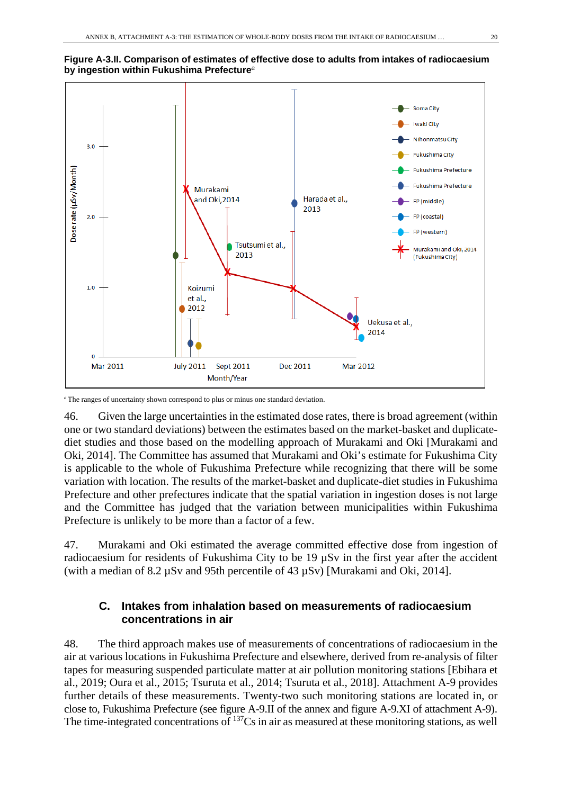



*<sup>a</sup>* The ranges of uncertainty shown correspond to plus or minus one standard deviation.

46. Given the large uncertainties in the estimated dose rates, there is broad agreement (within one or two standard deviations) between the estimates based on the market-basket and duplicatediet studies and those based on the modelling approach of Murakami and Oki [Murakami and Oki, 2014]. The Committee has assumed that Murakami and Oki's estimate for Fukushima City is applicable to the whole of Fukushima Prefecture while recognizing that there will be some variation with location. The results of the market-basket and duplicate-diet studies in Fukushima Prefecture and other prefectures indicate that the spatial variation in ingestion doses is not large and the Committee has judged that the variation between municipalities within Fukushima Prefecture is unlikely to be more than a factor of a few.

47. Murakami and Oki estimated the average committed effective dose from ingestion of radiocaesium for residents of Fukushima City to be 19  $\mu$ Sv in the first year after the accident (with a median of 8.2  $\mu$ Sv and 95th percentile of 43  $\mu$ Sv) [Murakami and Oki, 2014].

### **C. Intakes from inhalation based on measurements of radiocaesium concentrations in air**

48. The third approach makes use of measurements of concentrations of radiocaesium in the air at various locations in Fukushima Prefecture and elsewhere, derived from re-analysis of filter tapes for measuring suspended particulate matter at air pollution monitoring stations [Ebihara et al., 2019; Oura et al., 2015; Tsuruta et al., 2014; Tsuruta et al., 2018]. Attachment A-9 provides further details of these measurements. Twenty-two such monitoring stations are located in, or close to, Fukushima Prefecture (see figure A-9.II of the annex and figure A-9.XI of attachment A-9). The time-integrated concentrations of <sup>137</sup>Cs in air as measured at these monitoring stations, as well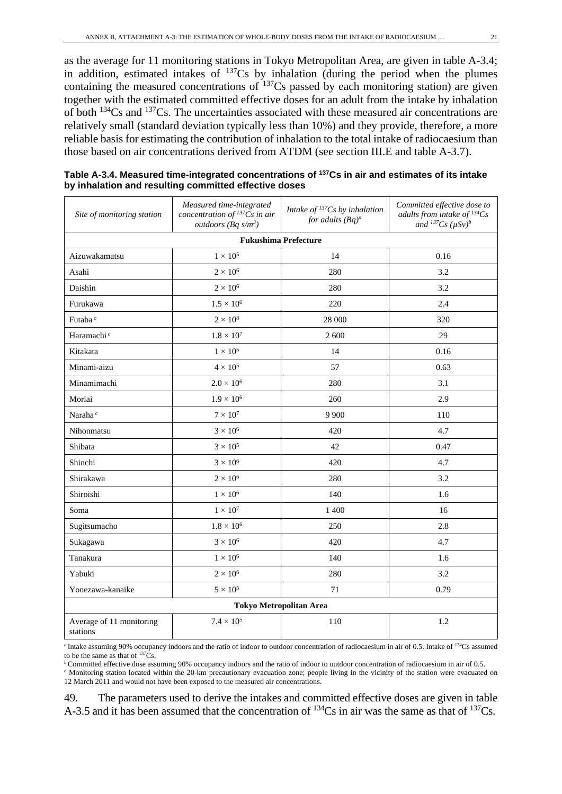as the average for 11 monitoring stations in Tokyo Metropolitan Area, are given in table A-3.4; in addition, estimated intakes of  $^{137}Cs$  by inhalation (during the period when the plumes containing the measured concentrations of  $^{137}Cs$  passed by each monitoring station) are given together with the estimated committed effective doses for an adult from the intake by inhalation of both 134Cs and 137Cs. The uncertainties associated with these measured air concentrations are relatively small (standard deviation typically less than 10%) and they provide, therefore, a more reliable basis for estimating the contribution of inhalation to the total intake of radiocaesium than those based on air concentrations derived from ATDM (see section III.E and table A-3.7).

| Site of monitoring station           | Measured time-integrated<br>concentration of ${}^{137}Cs$ in air<br>outdoors (Bq $s/m^3$ ) | Intake of $^{137}Cs$ by inhalation<br>for adults $(Bq)^a$ | Committed effective dose to<br>adults from intake of $^{134}Cs$<br>and ${}^{137}Cs$ ( $\mu Sv$ ) <sup>b</sup> |
|--------------------------------------|--------------------------------------------------------------------------------------------|-----------------------------------------------------------|---------------------------------------------------------------------------------------------------------------|
|                                      |                                                                                            | <b>Fukushima Prefecture</b>                               |                                                                                                               |
| Aizuwakamatsu                        | 0.16                                                                                       |                                                           |                                                                                                               |
| Asahi                                | $2\times10^6$                                                                              | 280                                                       | 3.2                                                                                                           |
| Daishin                              | $2\times10^6$                                                                              | 280                                                       | 3.2                                                                                                           |
| Furukawa                             | $1.5\times10^6$                                                                            | 220                                                       | 2.4                                                                                                           |
| Futaba <sup>c</sup>                  | $2\times10^8$                                                                              | 28 000                                                    | 320                                                                                                           |
| Haramachi <sup>c</sup>               | $1.8\times10^7$                                                                            | 2 600                                                     | 29                                                                                                            |
| Kitakata                             | $1\times10^5$                                                                              | 14                                                        | 0.16                                                                                                          |
| Minami-aizu                          | $4 \times 10^5$                                                                            | 57                                                        | 0.63                                                                                                          |
| Minamimachi                          | $2.0\times10^6$                                                                            | 280                                                       | 3.1                                                                                                           |
| Moriai                               | $1.9 \times 10^{6}$                                                                        | 260                                                       | 2.9                                                                                                           |
| Naraha <sup>c</sup>                  | $7 \times 10^7$                                                                            | 9 9 0 0                                                   | 110                                                                                                           |
| Nihonmatsu                           | $3\times10^6$                                                                              | 420                                                       | 4.7                                                                                                           |
| Shibata                              | $3\times10^5$                                                                              | 42                                                        | 0.47                                                                                                          |
| Shinchi                              | $3 \times 10^6$                                                                            | 420                                                       | 4.7                                                                                                           |
| Shirakawa                            | $2\times10^6$                                                                              | 280                                                       | 3.2                                                                                                           |
| Shiroishi                            | $1 \times 10^6$                                                                            | 140                                                       | 1.6                                                                                                           |
| Soma                                 | $1\times10^7$                                                                              | 1 400                                                     | 16                                                                                                            |
| Sugitsumacho                         | $1.8 \times 10^{6}$                                                                        | 250                                                       | 2.8                                                                                                           |
| Sukagawa                             | $3 \times 10^6$                                                                            | 420                                                       | 4.7                                                                                                           |
| Tanakura                             | $1 \times 10^6$                                                                            | 140                                                       | 1.6                                                                                                           |
| Yabuki                               | $2\times10^6$                                                                              | 280                                                       | 3.2                                                                                                           |
| Yonezawa-kanaike                     | $5 \times 10^5$                                                                            | 71                                                        | 0.79                                                                                                          |
|                                      |                                                                                            | <b>Tokyo Metropolitan Area</b>                            |                                                                                                               |
| Average of 11 monitoring<br>stations | $7.4 \times 10^{5}$                                                                        | 110                                                       | 1.2                                                                                                           |

**Table A-3.4. Measured time-integrated concentrations of 137Cs in air and estimates of its intake by inhalation and resulting committed effective doses**

<sup>*a*</sup> Intake assuming 90% occupancy indoors and the ratio of indoor to outdoor concentration of radiocaesium in air of 0.5. Intake of  $134Cs$  assumed to be the same as that of  $137Cs$ .

*b* Committed effective dose assuming 90% occupancy indoors and the ratio of indoor to outdoor concentration of radiocaesium in air of 0.5.

*<sup>c</sup>* Monitoring station located within the 20-km precautionary evacuation zone; people living in the vicinity of the station were evacuated on 12 March 2011 and would not have been exposed to the measured air concentrations.

49. The parameters used to derive the intakes and committed effective doses are given in table A-3.5 and it has been assumed that the concentration of  $^{134}Cs$  in air was the same as that of  $^{137}Cs$ .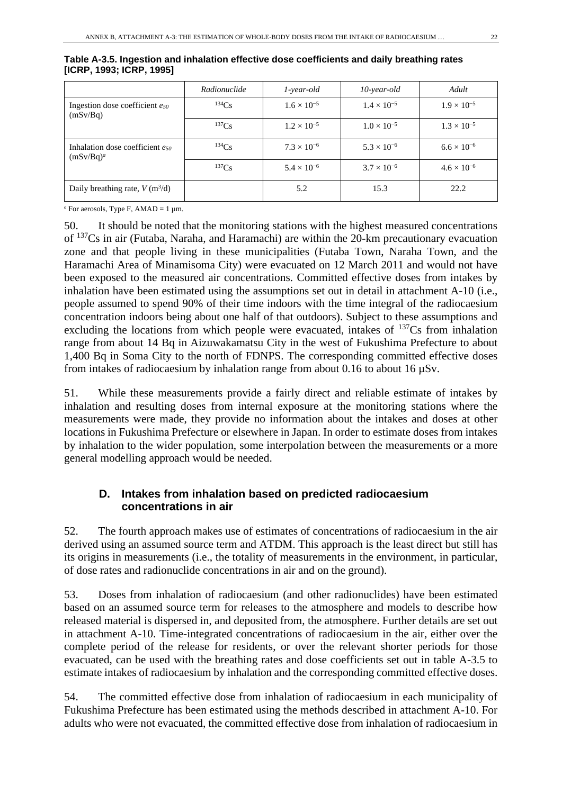|                                                 | Radionuclide | $1$ -year-old        | $10$ -year-old       | Adult                |
|-------------------------------------------------|--------------|----------------------|----------------------|----------------------|
| Ingestion dose coefficient eso<br>(mSv/Bq)      | 134Cs        | $1.6 \times 10^{-5}$ | $1.4 \times 10^{-5}$ | $1.9 \times 10^{-5}$ |
|                                                 | 137Cs        | $1.2 \times 10^{-5}$ | $1.0 \times 10^{-5}$ | $1.3 \times 10^{-5}$ |
| Inhalation dose coefficient eso<br>$(mSv/Bq)^a$ | 134Cs        | $7.3 \times 10^{-6}$ | $5.3 \times 10^{-6}$ | $6.6 \times 10^{-6}$ |
|                                                 | 137Cs        | $5.4 \times 10^{-6}$ | $3.7 \times 10^{-6}$ | $4.6 \times 10^{-6}$ |
| Daily breathing rate, $V(m^3/d)$                |              | 5.2                  | 15.3                 | 22.2                 |

|                          |  | Table A-3.5. Ingestion and inhalation effective dose coefficients and daily breathing rates |
|--------------------------|--|---------------------------------------------------------------------------------------------|
| [ICRP, 1993; ICRP, 1995] |  |                                                                                             |

 $a$ <sup>a</sup> For aerosols, Type F, AMAD = 1  $\mu$ m.

50. It should be noted that the monitoring stations with the highest measured concentrations of 137Cs in air (Futaba, Naraha, and Haramachi) are within the 20-km precautionary evacuation zone and that people living in these municipalities (Futaba Town, Naraha Town, and the Haramachi Area of Minamisoma City) were evacuated on 12 March 2011 and would not have been exposed to the measured air concentrations. Committed effective doses from intakes by inhalation have been estimated using the assumptions set out in detail in attachment A-10 (i.e., people assumed to spend 90% of their time indoors with the time integral of the radiocaesium concentration indoors being about one half of that outdoors). Subject to these assumptions and excluding the locations from which people were evacuated, intakes of  $137Cs$  from inhalation range from about 14 Bq in Aizuwakamatsu City in the west of Fukushima Prefecture to about 1,400 Bq in Soma City to the north of FDNPS. The corresponding committed effective doses from intakes of radiocaesium by inhalation range from about 0.16 to about 16  $\mu Sv$ .

51. While these measurements provide a fairly direct and reliable estimate of intakes by inhalation and resulting doses from internal exposure at the monitoring stations where the measurements were made, they provide no information about the intakes and doses at other locations in Fukushima Prefecture or elsewhere in Japan. In order to estimate doses from intakes by inhalation to the wider population, some interpolation between the measurements or a more general modelling approach would be needed.

## **D. Intakes from inhalation based on predicted radiocaesium concentrations in air**

52. The fourth approach makes use of estimates of concentrations of radiocaesium in the air derived using an assumed source term and ATDM. This approach is the least direct but still has its origins in measurements (i.e., the totality of measurements in the environment, in particular, of dose rates and radionuclide concentrations in air and on the ground).

53. Doses from inhalation of radiocaesium (and other radionuclides) have been estimated based on an assumed source term for releases to the atmosphere and models to describe how released material is dispersed in, and deposited from, the atmosphere. Further details are set out in attachment A-10. Time-integrated concentrations of radiocaesium in the air, either over the complete period of the release for residents, or over the relevant shorter periods for those evacuated, can be used with the breathing rates and dose coefficients set out in table A-3.5 to estimate intakes of radiocaesium by inhalation and the corresponding committed effective doses.

54. The committed effective dose from inhalation of radiocaesium in each municipality of Fukushima Prefecture has been estimated using the methods described in attachment A-10. For adults who were not evacuated, the committed effective dose from inhalation of radiocaesium in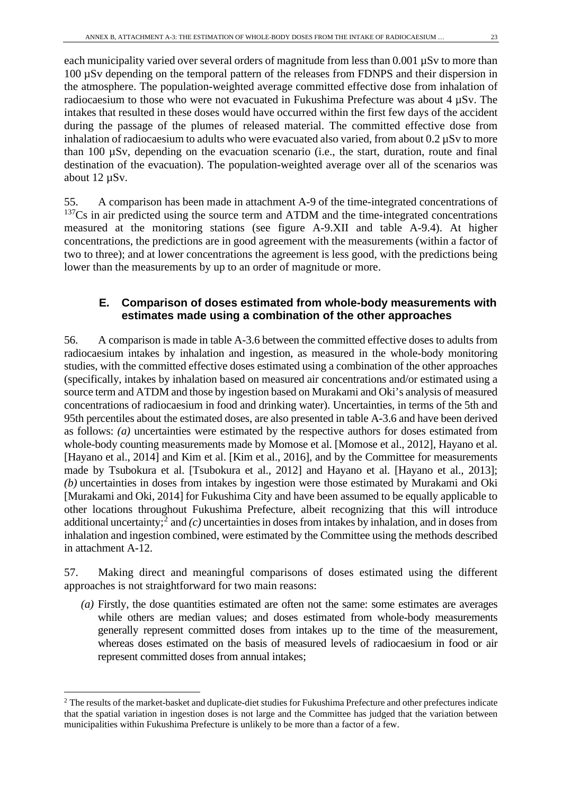each municipality varied over several orders of magnitude from less than 0.001  $\mu$ Sv to more than 100 µSv depending on the temporal pattern of the releases from FDNPS and their dispersion in the atmosphere. The population-weighted average committed effective dose from inhalation of radiocaesium to those who were not evacuated in Fukushima Prefecture was about 4 µSv. The intakes that resulted in these doses would have occurred within the first few days of the accident during the passage of the plumes of released material. The committed effective dose from inhalation of radiocaesium to adults who were evacuated also varied, from about  $0.2 \mu Sv$  to more than 100 µSv, depending on the evacuation scenario (i.e., the start, duration, route and final destination of the evacuation). The population-weighted average over all of the scenarios was about 12 µSv.

55. A comparison has been made in attachment A-9 of the time-integrated concentrations of <sup>137</sup>Cs in air predicted using the source term and ATDM and the time-integrated concentrations measured at the monitoring stations (see figure A-9.XII and table A-9.4). At higher concentrations, the predictions are in good agreement with the measurements (within a factor of two to three); and at lower concentrations the agreement is less good, with the predictions being lower than the measurements by up to an order of magnitude or more.

### **E. Comparison of doses estimated from whole-body measurements with estimates made using a combination of the other approaches**

56. A comparison is made in table A-3.6 between the committed effective doses to adults from radiocaesium intakes by inhalation and ingestion, as measured in the whole-body monitoring studies, with the committed effective doses estimated using a combination of the other approaches (specifically, intakes by inhalation based on measured air concentrations and/or estimated using a source term and ATDM and those by ingestion based on Murakami and Oki's analysis of measured concentrations of radiocaesium in food and drinking water). Uncertainties, in terms of the 5th and 95th percentiles about the estimated doses, are also presented in table A-3.6 and have been derived as follows: *(a)* uncertainties were estimated by the respective authors for doses estimated from whole-body counting measurements made by Momose et al. [Momose et al., 2012], Hayano et al. [Hayano et al., 2014] and Kim et al. [Kim et al., 2016], and by the Committee for measurements made by Tsubokura et al. [Tsubokura et al., 2012] and Hayano et al. [Hayano et al., 2013]; *(b)* uncertainties in doses from intakes by ingestion were those estimated by Murakami and Oki [Murakami and Oki, 2014] for Fukushima City and have been assumed to be equally applicable to other locations throughout Fukushima Prefecture, albeit recognizing that this will introduce additional uncertainty;<sup>[2](#page-22-0)</sup> and  $(c)$  uncertainties in doses from intakes by inhalation, and in doses from inhalation and ingestion combined, were estimated by the Committee using the methods described in attachment A-12.

57. Making direct and meaningful comparisons of doses estimated using the different approaches is not straightforward for two main reasons:

*(a)* Firstly, the dose quantities estimated are often not the same: some estimates are averages while others are median values; and doses estimated from whole-body measurements generally represent committed doses from intakes up to the time of the measurement, whereas doses estimated on the basis of measured levels of radiocaesium in food or air represent committed doses from annual intakes;

<span id="page-22-0"></span><sup>&</sup>lt;sup>2</sup> The results of the market-basket and duplicate-diet studies for Fukushima Prefecture and other prefectures indicate that the spatial variation in ingestion doses is not large and the Committee has judged that the variation between municipalities within Fukushima Prefecture is unlikely to be more than a factor of a few.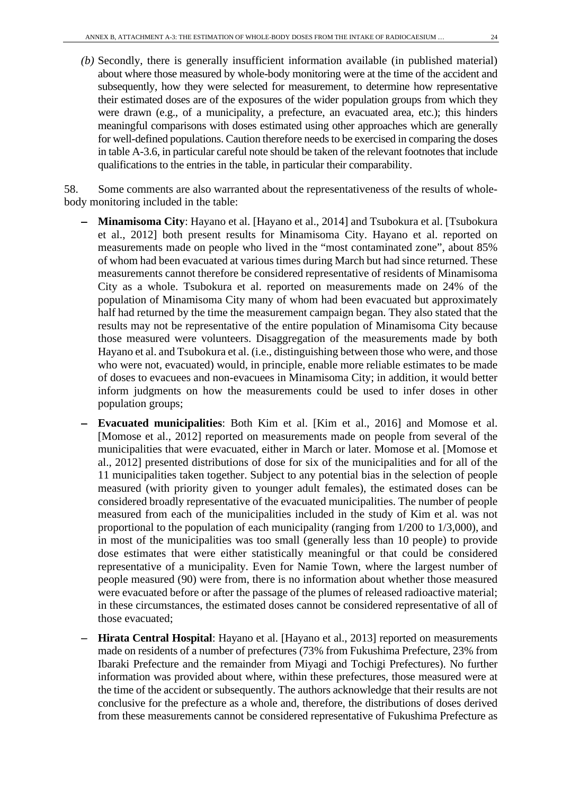*(b)* Secondly, there is generally insufficient information available (in published material) about where those measured by whole-body monitoring were at the time of the accident and subsequently, how they were selected for measurement, to determine how representative their estimated doses are of the exposures of the wider population groups from which they were drawn (e.g., of a municipality, a prefecture, an evacuated area, etc.); this hinders meaningful comparisons with doses estimated using other approaches which are generally for well-defined populations. Caution therefore needs to be exercised in comparing the doses in table A-3.6, in particular careful note should be taken of the relevant footnotes that include qualifications to the entries in the table, in particular their comparability.

58. Some comments are also warranted about the representativeness of the results of wholebody monitoring included in the table:

- − **Minamisoma City**: Hayano et al. [Hayano et al., 2014] and Tsubokura et al. [Tsubokura et al., 2012] both present results for Minamisoma City. Hayano et al. reported on measurements made on people who lived in the "most contaminated zone", about 85% of whom had been evacuated at various times during March but had since returned. These measurements cannot therefore be considered representative of residents of Minamisoma City as a whole. Tsubokura et al. reported on measurements made on 24% of the population of Minamisoma City many of whom had been evacuated but approximately half had returned by the time the measurement campaign began. They also stated that the results may not be representative of the entire population of Minamisoma City because those measured were volunteers. Disaggregation of the measurements made by both Hayano et al. and Tsubokura et al. (i.e., distinguishing between those who were, and those who were not, evacuated) would, in principle, enable more reliable estimates to be made of doses to evacuees and non-evacuees in Minamisoma City; in addition, it would better inform judgments on how the measurements could be used to infer doses in other population groups;
- **Evacuated municipalities**: Both Kim et al. [Kim et al., 2016] and Momose et al. [Momose et al., 2012] reported on measurements made on people from several of the municipalities that were evacuated, either in March or later. Momose et al. [Momose et al., 2012] presented distributions of dose for six of the municipalities and for all of the 11 municipalities taken together. Subject to any potential bias in the selection of people measured (with priority given to younger adult females), the estimated doses can be considered broadly representative of the evacuated municipalities. The number of people measured from each of the municipalities included in the study of Kim et al. was not proportional to the population of each municipality (ranging from 1/200 to 1/3,000), and in most of the municipalities was too small (generally less than 10 people) to provide dose estimates that were either statistically meaningful or that could be considered representative of a municipality. Even for Namie Town, where the largest number of people measured (90) were from, there is no information about whether those measured were evacuated before or after the passage of the plumes of released radioactive material; in these circumstances, the estimated doses cannot be considered representative of all of those evacuated;
- **Hirata Central Hospital**: Hayano et al. [Hayano et al., 2013] reported on measurements made on residents of a number of prefectures (73% from Fukushima Prefecture, 23% from Ibaraki Prefecture and the remainder from Miyagi and Tochigi Prefectures). No further information was provided about where, within these prefectures, those measured were at the time of the accident or subsequently. The authors acknowledge that their results are not conclusive for the prefecture as a whole and, therefore, the distributions of doses derived from these measurements cannot be considered representative of Fukushima Prefecture as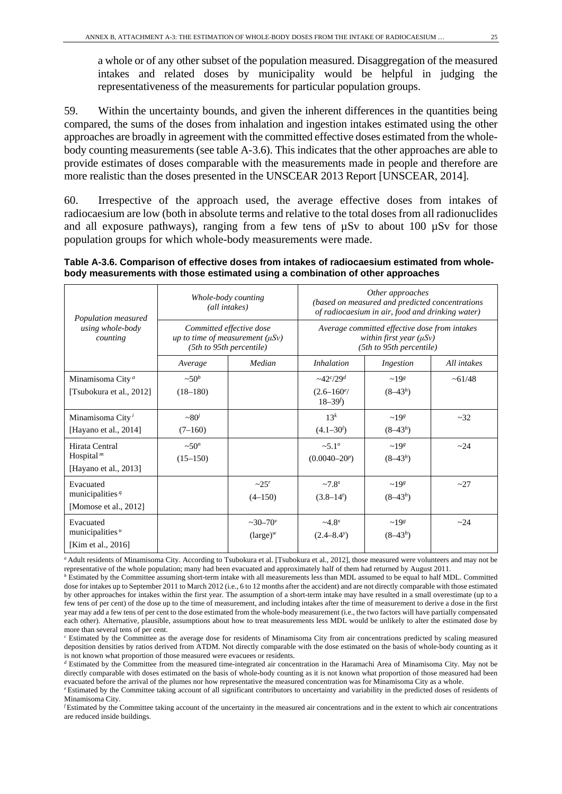a whole or of any other subset of the population measured. Disaggregation of the measured intakes and related doses by municipality would be helpful in judging the representativeness of the measurements for particular population groups.

59. Within the uncertainty bounds, and given the inherent differences in the quantities being compared, the sums of the doses from inhalation and ingestion intakes estimated using the other approaches are broadly in agreement with the committed effective doses estimated from the wholebody counting measurements (see table A-3.6). This indicates that the other approaches are able to provide estimates of doses comparable with the measurements made in people and therefore are more realistic than the doses presented in the UNSCEAR 2013 Report [UNSCEAR, 2014].

60. Irrespective of the approach used, the average effective doses from intakes of radiocaesium are low (both in absolute terms and relative to the total doses from all radionuclides and all exposure pathways), ranging from a few tens of µSv to about 100 µSv for those population groups for which whole-body measurements were made.

#### **Table A-3.6. Comparison of effective doses from intakes of radiocaesium estimated from wholebody measurements with those estimated using a combination of other approaches**

| Population measured                       | Whole-body counting<br>(all intakes)                                                         |                        | Other approaches<br>(based on measured and predicted concentrations<br>of radiocaesium in air, food and drinking water) |                    |             |  |
|-------------------------------------------|----------------------------------------------------------------------------------------------|------------------------|-------------------------------------------------------------------------------------------------------------------------|--------------------|-------------|--|
| using whole-body<br>counting              | Committed effective dose<br>up to time of measurement $(\mu Sv)$<br>(5th to 95th percentile) |                        | Average committed effective dose from intakes<br>within first year $(\mu Sv)$<br>(5th to 95th percentile)               |                    |             |  |
|                                           | Average                                                                                      | Median                 | <i>Inhalation</i>                                                                                                       | Ingestion          | All intakes |  |
| Minamisoma City <sup>a</sup>              | $\sim 50^b$                                                                                  |                        | $-42^{c}/29^{d}$                                                                                                        | ~198               | ~1/48       |  |
| [Tsubokura et al., 2012]                  | $(18-180)$                                                                                   |                        | $(2.6 - 160)$ <sup>e</sup><br>$18 - 39f$                                                                                | $(8-43h)$          |             |  |
| Minamisoma City <sup><math>i</math></sup> | $\sim 80'$                                                                                   |                        | $13^k$                                                                                                                  | $\sim$ 198         | $\sim$ 32   |  |
| [Hayano et al., 2014]                     | $(7-160)$                                                                                    |                        | $(4.1 - 30)$                                                                                                            | $(8-43h)$          |             |  |
| Hirata Central                            | $\sim 50^n$                                                                                  |                        | $\sim 5.1^{\circ}$                                                                                                      | $\sim$ 198         | $\sim$ 2.4  |  |
| Hospital <sup><math>m</math></sup>        | $(15-150)$                                                                                   |                        | $(0.0040 - 20^p)$                                                                                                       | $(8-43h)$          |             |  |
| [Hayano et al., 2013]                     |                                                                                              |                        |                                                                                                                         |                    |             |  |
| Evacuated                                 |                                                                                              | $\sim 25^r$            | $~27.8$ <sup>s</sup>                                                                                                    | $~19$ <sup>g</sup> | ~27         |  |
| municipalities $q$                        |                                                                                              | $(4-150)$              | $(3.8-14t)$                                                                                                             | $(8-43h)$          |             |  |
| [Momose et al., 2012]                     |                                                                                              |                        |                                                                                                                         |                    |             |  |
| Evacuated                                 |                                                                                              | $\sim 30 - 70^{\circ}$ | $-4.8^{x}$                                                                                                              | $~19$ s            | $\sim$ 2.4  |  |
| municipalities $u$                        |                                                                                              | $(\text{large})^w$     | $(2.4 - 8.4^{\circ})$                                                                                                   | $(8-43h)$          |             |  |
| [Kim et al., 2016]                        |                                                                                              |                        |                                                                                                                         |                    |             |  |

*<sup>a</sup>* Adult residents of Minamisoma City. According to Tsubokura et al. [Tsubokura et al., 2012], those measured were volunteers and may not be representative of the whole population; many had been evacuated and approximately half of them had returned by August 2011.

*b* Estimated by the Committee assuming short-term intake with all measurements less than MDL assumed to be equal to half MDL. Committed dose for intakes up to September 2011 to March 2012 (i.e., 6 to 12 months after the accident) and are not directly comparable with those estimated by other approaches for intakes within the first year. The assumption of a short-term intake may have resulted in a small overestimate (up to a few tens of per cent) of the dose up to the time of measurement, and including intakes after the time of measurement to derive a dose in the first year may add a few tens of per cent to the dose estimated from the whole-body measurement (i.e., the two factors will have partially compensated each other). Alternative, plausible, assumptions about how to treat measurements less MDL would be unlikely to alter the estimated dose by more than several tens of per cent.

*<sup>c</sup>* Estimated by the Committee as the average dose for residents of Minamisoma City from air concentrations predicted by scaling measured deposition densities by ratios derived from ATDM. Not directly comparable with the dose estimated on the basis of whole-body counting as it is not known what proportion of those measured were evacuees or residents.

*<sup>d</sup>* Estimated by the Committee from the measured time-integrated air concentration in the Haramachi Area of Minamisoma City. May not be directly comparable with doses estimated on the basis of whole-body counting as it is not known what proportion of those measured had been evacuated before the arrival of the plumes nor how representative the measured concentration was for Minamisoma City as a whole.

*e* Estimated by the Committee taking account of all significant contributors to uncertainty and variability in the predicted doses of residents of Minamisoma City.

*f* Estimated by the Committee taking account of the uncertainty in the measured air concentrations and in the extent to which air concentrations are reduced inside buildings.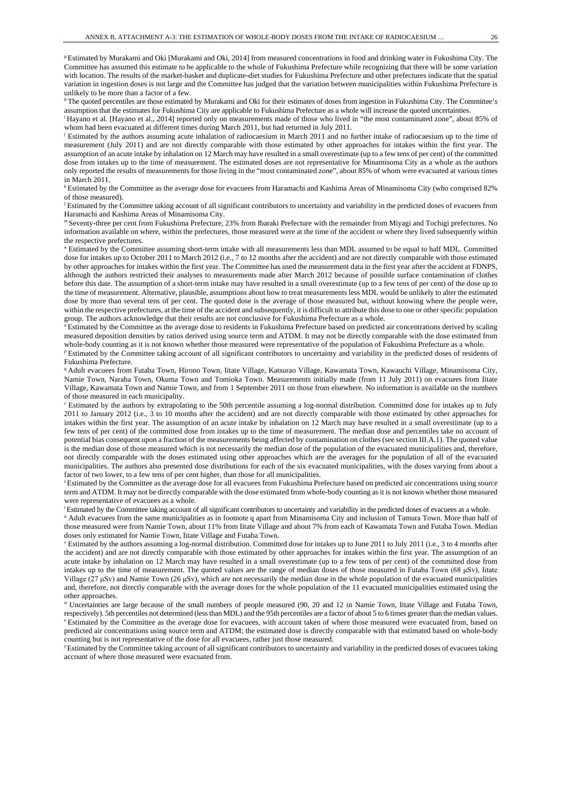*<sup>g</sup>*Estimated by Murakami and Oki [Murakami and Oki, 2014] from measured concentrations in food and drinking water in Fukushima City. The Committee has assumed this estimate to be applicable to the whole of Fukushima Prefecture while recognizing that there will be some variation with location. The results of the market-basket and duplicate-diet studies for Fukushima Prefecture and other prefectures indicate that the spatial variation in ingestion doses is not large and the Committee has judged that the variation between municipalities within Fukushima Prefecture is unlikely to be more than a factor of a few.

*<sup>h</sup>*The quoted percentiles are those estimated by Murakami and Oki for their estimates of doses from ingestion in Fukushima City. The Committee's assumption that the estimates for Fukushima City are applicable to Fukushima Prefecture as a whole will increase the quoted uncertainties.

*i* Hayano et al. [Hayano et al., 2014] reported only on measurements made of those who lived in "the most contaminated zone", about 85% of whom had been evacuated at different times during March 2011, but had returned in July 2011.

*<sup>j</sup>* Estimated by the authors assuming acute inhalation of radiocaesium in March 2011 and no further intake of radiocaesium up to the time of measurement (July 2011) and are not directly comparable with those estimated by other approaches for intakes within the first year. The assumption of an acute intake by inhalation on 12 March may have resulted in a small overestimate (up to a few tens of per cent) of the committed dose from intakes up to the time of measurement. The estimated doses are not representative for Minamisoma City as a whole as the authors only reported the results of measurements for those living in the "most contaminated zone", about 85% of whom were evacuated at various times in March 2011.

*<sup>k</sup>*Estimated by the Committee as the average dose for evacuees from Haramachi and Kashima Areas of Minamisoma City (who comprised 82% of those measured).

*<sup>l</sup>* Estimated by the Committee taking account of all significant contributors to uncertainty and variability in the predicted doses of evacuees from Haramachi and Kashima Areas of Minamisoma City.

*<sup>m</sup>* Seventy-three per cent from Fukushima Prefecture, 23% from Ibaraki Prefecture with the remainder from Miyagi and Tochigi prefectures. No information available on where, within the prefectures, those measured were at the time of the accident or where they lived subsequently within the respective prefectures.

*<sup>n</sup>* Estimated by the Committee assuming short-term intake with all measurements less than MDL assumed to be equal to half MDL. Committed dose for intakes up to October 2011 to March 2012 (i.e., 7 to 12 months after the accident) and are not directly comparable with those estimated by other approaches for intakes within the first year. The Committee has used the measurement data in the first year after the accident at FDNPS, although the authors restricted their analyses to measurements made after March 2012 because of possible surface contamination of clothes before this date. The assumption of a short-term intake may have resulted in a small overestimate (up to a few tens of per cent) of the dose up to the time of measurement. Alternative, plausible, assumptions about how to treat measurements less MDL would be unlikely to alter the estimated dose by more than several tens of per cent. The quoted dose is the average of those measured but, without knowing where the people were, within the respective prefectures, at the time of the accident and subsequently, it is difficult to attribute this dose to one or other specific population group. The authors acknowledge that their results are not conclusive for Fukushima Prefecture as a whole.

*<sup>o</sup>*Estimated by the Committee as the average dose to residents in Fukushima Prefecture based on predicted air concentrations derived by scaling measured deposition densities by ratios derived using source term and ATDM. It may not be directly comparable with the dose estimated from whole-body counting as it is not known whether those measured were representative of the population of Fukushima Prefecture as a whole. *P* Estimated by the Committee taking account of all significant contributors to uncertainty and variability in the predicted doses of residents of Fukushima Prefecture.

*<sup>q</sup>* Adult evacuees from Futaba Town, Hirono Town, Iitate Village, Katsurao Village, Kawamata Town, Kawauchi Village, Minamisoma City, Namie Town, Naraha Town, Okuma Town and Tomioka Town. Measurements initially made (from 11 July 2011) on evacuees from Iitate Village, Kawamata Town and Namie Town, and from 1 September 2011 on those from elsewhere. No information is available on the numbers of those measured in each municipality.

*<sup>r</sup>* Estimated by the authors by extrapolating to the 50th percentile assuming a log-normal distribution. Committed dose for intakes up to July 2011 to January 2012 (i.e., 3 to 10 months after the accident) and are not directly comparable with those estimated by other approaches for intakes within the first year. The assumption of an acute intake by inhalation on 12 March may have resulted in a small overestimate (up to a few tens of per cent) of the committed dose from intakes up to the time of measurement. The median dose and percentiles take no account of potential bias consequent upon a fraction of the measurements being affected by contamination on clothes (see section III.A.1). The quoted value is the median dose of those measured which is not necessarily the median dose of the population of the evacuated municipalities and, therefore, not directly comparable with the doses estimated using other approaches which are the averages for the population of all of the evacuated municipalities. The authors also presented dose distributions for each of the six evacuated municipalities, with the doses varying from about a factor of two lower, to a few tens of per cent higher, than those for all municipalities.

*<sup>s</sup>*Estimated by the Committee as the average dose for all evacuees from Fukushima Prefecture based on predicted air concentrations using source term and ATDM. It may not be directly comparable with the dose estimated from whole-body counting as it is not known whether those measured were representative of evacuees as a whole.

*t* Estimated by the Committee taking account of all significant contributors to uncertainty and variability in the predicted doses of evacuees as a whole.

*<sup>u</sup>* Adult evacuees from the same municipalities as in footnote q apart from Minamisoma City and inclusion of Tamura Town. More than half of those measured were from Namie Town, about 11% from Iitate Village and about 7% from each of Kawamata Town and Futaba Town. Median doses only estimated for Namie Town, Iitate Village and Futaba Town.

*<sup>v</sup>* Estimated by the authors assuming a log-normal distribution. Committed dose for intakes up to June 2011 to July 2011 (i.e., 3 to 4 months after the accident) and are not directly comparable with those estimated by other approaches for intakes within the first year. The assumption of an acute intake by inhalation on 12 March may have resulted in a small overestimate (up to a few tens of per cent) of the committed dose from intakes up to the time of measurement. The quoted values are the range of median doses of those measured in Futaba Town (68 μSv), Iitate Village (27 μSv) and Namie Town (26 μSv), which are not necessarily the median dose in the whole population of the evacuated municipalities and, therefore, not directly comparable with the average doses for the whole population of the 11 evacuated municipalities estimated using the other approaches.

*<sup>w</sup>* Uncertainties are large because of the small numbers of people measured (90, 20 and 12 in Namie Town, Iitate Village and Futaba Town, respectively). 5th percentiles not determined (less than MDL) and the 95th percentiles are a factor of about 5 to 6 times greater than the median values. *<sup>x</sup>* Estimated by the Committee as the average dose for evacuees, with account taken of where those measured were evacuated from, based on predicted air concentrations using source term and ATDM; the estimated dose is directly comparable with that estimated based on whole-body counting but is not representative of the dose for all evacuees, rather just those measured.

*<sup>y</sup>*Estimated by the Committee taking account of all significant contributors to uncertainty and variability in the predicted doses of evacuees taking account of where those measured were evacuated from.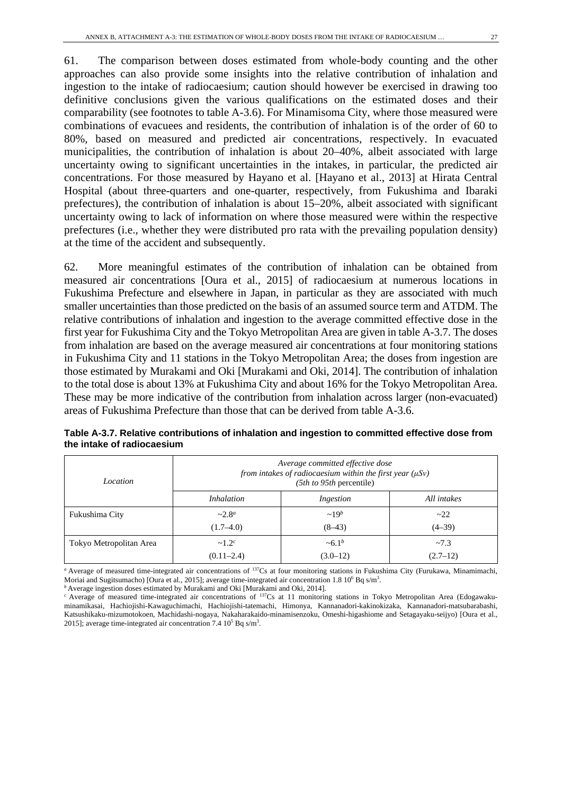61. The comparison between doses estimated from whole-body counting and the other approaches can also provide some insights into the relative contribution of inhalation and ingestion to the intake of radiocaesium; caution should however be exercised in drawing too definitive conclusions given the various qualifications on the estimated doses and their comparability (see footnotes to table A-3.6). For Minamisoma City, where those measured were combinations of evacuees and residents, the contribution of inhalation is of the order of 60 to 80%, based on measured and predicted air concentrations, respectively. In evacuated municipalities, the contribution of inhalation is about 20–40%, albeit associated with large uncertainty owing to significant uncertainties in the intakes, in particular, the predicted air concentrations. For those measured by Hayano et al. [Hayano et al., 2013] at Hirata Central Hospital (about three-quarters and one-quarter, respectively, from Fukushima and Ibaraki prefectures), the contribution of inhalation is about 15–20%, albeit associated with significant uncertainty owing to lack of information on where those measured were within the respective prefectures (i.e., whether they were distributed pro rata with the prevailing population density) at the time of the accident and subsequently.

62. More meaningful estimates of the contribution of inhalation can be obtained from measured air concentrations [Oura et al., 2015] of radiocaesium at numerous locations in Fukushima Prefecture and elsewhere in Japan, in particular as they are associated with much smaller uncertainties than those predicted on the basis of an assumed source term and ATDM. The relative contributions of inhalation and ingestion to the average committed effective dose in the first year for Fukushima City and the Tokyo Metropolitan Area are given in table A-3.7. The doses from inhalation are based on the average measured air concentrations at four monitoring stations in Fukushima City and 11 stations in the Tokyo Metropolitan Area; the doses from ingestion are those estimated by Murakami and Oki [Murakami and Oki, 2014]. The contribution of inhalation to the total dose is about 13% at Fukushima City and about 16% for the Tokyo Metropolitan Area. These may be more indicative of the contribution from inhalation across larger (non-evacuated) areas of Fukushima Prefecture than those that can be derived from table A-3.6.

| Location                | Average committed effective dose<br>from intakes of radiocaesium within the first year $(\mu Sv)$<br>$(5th to 95th)$ percentile) |              |             |  |  |  |
|-------------------------|----------------------------------------------------------------------------------------------------------------------------------|--------------|-------------|--|--|--|
|                         | <i>Inhalation</i>                                                                                                                | Ingestion    | All intakes |  |  |  |
| Fukushima City          | $~2.8^a$                                                                                                                         | $\sim 19^b$  | $\sim$ 22   |  |  |  |
|                         | $(1.7 - 4.0)$                                                                                                                    | $(8-43)$     | $(4-39)$    |  |  |  |
| Tokyo Metropolitan Area | $\sim 1.2^c$                                                                                                                     | $\sim 6.1^b$ | ~1.3        |  |  |  |
|                         | $(0.11 - 2.4)$                                                                                                                   | $(3.0-12)$   | $(2.7-12)$  |  |  |  |

**Table A-3.7. Relative contributions of inhalation and ingestion to committed effective dose from the intake of radiocaesium**

*<sup>a</sup>* Average of measured time-integrated air concentrations of 137Cs at four monitoring stations in Fukushima City (Furukawa, Minamimachi, Moriai and Sugitsumacho) [Oura et al., 2015]; average time-integrated air concentration 1.8 10<sup>6</sup> Bq s/m<sup>3</sup>.

*b* Average ingestion doses estimated by Murakami and Oki [Murakami and Oki, 2014].

<sup>&</sup>lt;sup>c</sup> Average of measured time-integrated air concentrations of <sup>137</sup>Cs at 11 monitoring stations in Tokyo Metropolitan Area (Edogawakuminamikasai, Hachiojishi-Kawaguchimachi, Hachiojishi-tatemachi, Himonya, Kannanadori-kakinokizaka, Kannanadori-matsubarabashi, Katsushikaku-mizumotokoen, Machidashi-nogaya, Nakaharakaido-minamisenzoku, Omeshi-higashiome and Setagayaku-seijyo) [Oura et al., 2015]; average time-integrated air concentration 7.4  $10^5$  Bq s/m<sup>3</sup>.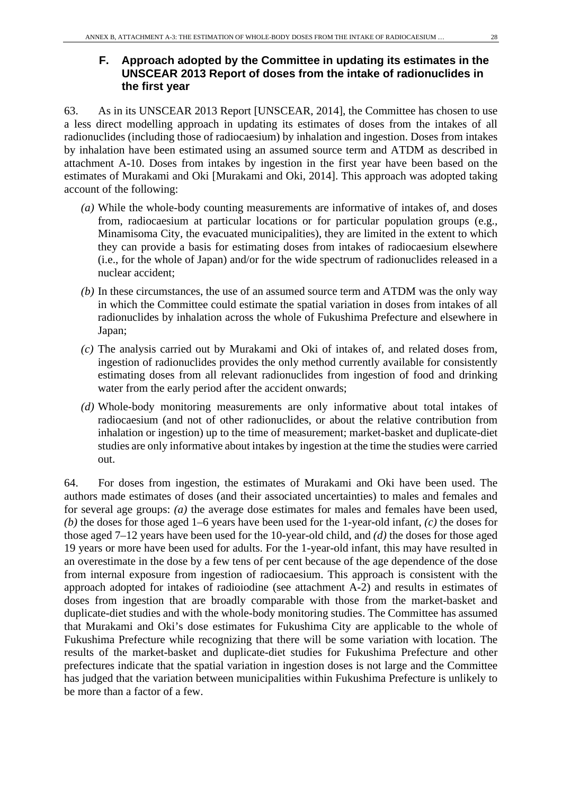63. As in its UNSCEAR 2013 Report [UNSCEAR, 2014], the Committee has chosen to use a less direct modelling approach in updating its estimates of doses from the intakes of all radionuclides (including those of radiocaesium) by inhalation and ingestion. Doses from intakes by inhalation have been estimated using an assumed source term and ATDM as described in attachment A-10. Doses from intakes by ingestion in the first year have been based on the estimates of Murakami and Oki [Murakami and Oki, 2014]. This approach was adopted taking account of the following:

- *(a)* While the whole-body counting measurements are informative of intakes of, and doses from, radiocaesium at particular locations or for particular population groups (e.g., Minamisoma City, the evacuated municipalities), they are limited in the extent to which they can provide a basis for estimating doses from intakes of radiocaesium elsewhere (i.e., for the whole of Japan) and/or for the wide spectrum of radionuclides released in a nuclear accident;
- *(b)* In these circumstances, the use of an assumed source term and ATDM was the only way in which the Committee could estimate the spatial variation in doses from intakes of all radionuclides by inhalation across the whole of Fukushima Prefecture and elsewhere in Japan;
- *(c)* The analysis carried out by Murakami and Oki of intakes of, and related doses from, ingestion of radionuclides provides the only method currently available for consistently estimating doses from all relevant radionuclides from ingestion of food and drinking water from the early period after the accident onwards;
- *(d)* Whole-body monitoring measurements are only informative about total intakes of radiocaesium (and not of other radionuclides, or about the relative contribution from inhalation or ingestion) up to the time of measurement; market-basket and duplicate-diet studies are only informative about intakes by ingestion at the time the studies were carried out.

64. For doses from ingestion, the estimates of Murakami and Oki have been used. The authors made estimates of doses (and their associated uncertainties) to males and females and for several age groups: *(a)* the average dose estimates for males and females have been used, *(b)* the doses for those aged 1–6 years have been used for the 1-year-old infant, *(c)* the doses for those aged 7–12 years have been used for the 10-year-old child, and *(d)* the doses for those aged 19 years or more have been used for adults. For the 1-year-old infant, this may have resulted in an overestimate in the dose by a few tens of per cent because of the age dependence of the dose from internal exposure from ingestion of radiocaesium. This approach is consistent with the approach adopted for intakes of radioiodine (see attachment A-2) and results in estimates of doses from ingestion that are broadly comparable with those from the market-basket and duplicate-diet studies and with the whole-body monitoring studies. The Committee has assumed that Murakami and Oki's dose estimates for Fukushima City are applicable to the whole of Fukushima Prefecture while recognizing that there will be some variation with location. The results of the market-basket and duplicate-diet studies for Fukushima Prefecture and other prefectures indicate that the spatial variation in ingestion doses is not large and the Committee has judged that the variation between municipalities within Fukushima Prefecture is unlikely to be more than a factor of a few.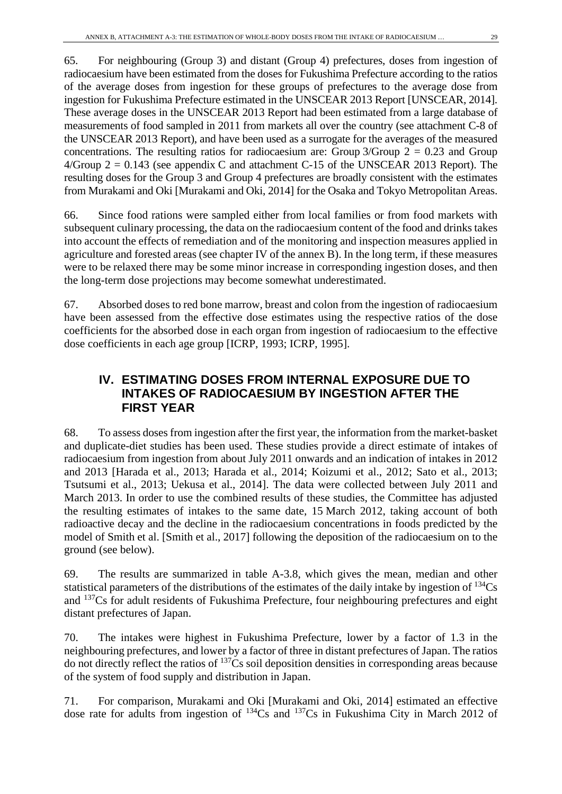65. For neighbouring (Group 3) and distant (Group 4) prefectures, doses from ingestion of radiocaesium have been estimated from the doses for Fukushima Prefecture according to the ratios of the average doses from ingestion for these groups of prefectures to the average dose from ingestion for Fukushima Prefecture estimated in the UNSCEAR 2013 Report [UNSCEAR, 2014]. These average doses in the UNSCEAR 2013 Report had been estimated from a large database of measurements of food sampled in 2011 from markets all over the country (see attachment C-8 of the UNSCEAR 2013 Report), and have been used as a surrogate for the averages of the measured concentrations. The resulting ratios for radiocaesium are: Group  $3/G$ roup  $2 = 0.23$  and Group  $4/G$ roup  $2 = 0.143$  (see appendix C and attachment C-15 of the UNSCEAR 2013 Report). The resulting doses for the Group 3 and Group 4 prefectures are broadly consistent with the estimates from Murakami and Oki [Murakami and Oki, 2014] for the Osaka and Tokyo Metropolitan Areas.

66. Since food rations were sampled either from local families or from food markets with subsequent culinary processing, the data on the radiocaesium content of the food and drinks takes into account the effects of remediation and of the monitoring and inspection measures applied in agriculture and forested areas (see chapter IV of the annex B). In the long term, if these measures were to be relaxed there may be some minor increase in corresponding ingestion doses, and then the long-term dose projections may become somewhat underestimated.

67. Absorbed doses to red bone marrow, breast and colon from the ingestion of radiocaesium have been assessed from the effective dose estimates using the respective ratios of the dose coefficients for the absorbed dose in each organ from ingestion of radiocaesium to the effective dose coefficients in each age group [ICRP, 1993; ICRP, 1995].

# **IV. ESTIMATING DOSES FROM INTERNAL EXPOSURE DUE TO INTAKES OF RADIOCAESIUM BY INGESTION AFTER THE FIRST YEAR**

68. To assess doses from ingestion after the first year, the information from the market-basket and duplicate-diet studies has been used. These studies provide a direct estimate of intakes of radiocaesium from ingestion from about July 2011 onwards and an indication of intakes in 2012 and 2013 [Harada et al., 2013; Harada et al., 2014; Koizumi et al., 2012; Sato et al., 2013; Tsutsumi et al., 2013; Uekusa et al., 2014]. The data were collected between July 2011 and March 2013. In order to use the combined results of these studies, the Committee has adjusted the resulting estimates of intakes to the same date, 15 March 2012, taking account of both radioactive decay and the decline in the radiocaesium concentrations in foods predicted by the model of Smith et al. [Smith et al., 2017] following the deposition of the radiocaesium on to the ground (see below).

69. The results are summarized in table A-3.8, which gives the mean, median and other statistical parameters of the distributions of the estimates of the daily intake by ingestion of 134Cs and 137Cs for adult residents of Fukushima Prefecture, four neighbouring prefectures and eight distant prefectures of Japan.

70. The intakes were highest in Fukushima Prefecture, lower by a factor of 1.3 in the neighbouring prefectures, and lower by a factor of three in distant prefectures of Japan. The ratios do not directly reflect the ratios of 137Cs soil deposition densities in corresponding areas because of the system of food supply and distribution in Japan.

71. For comparison, Murakami and Oki [Murakami and Oki, 2014] estimated an effective dose rate for adults from ingestion of  $^{134}Cs$  and  $^{137}Cs$  in Fukushima City in March 2012 of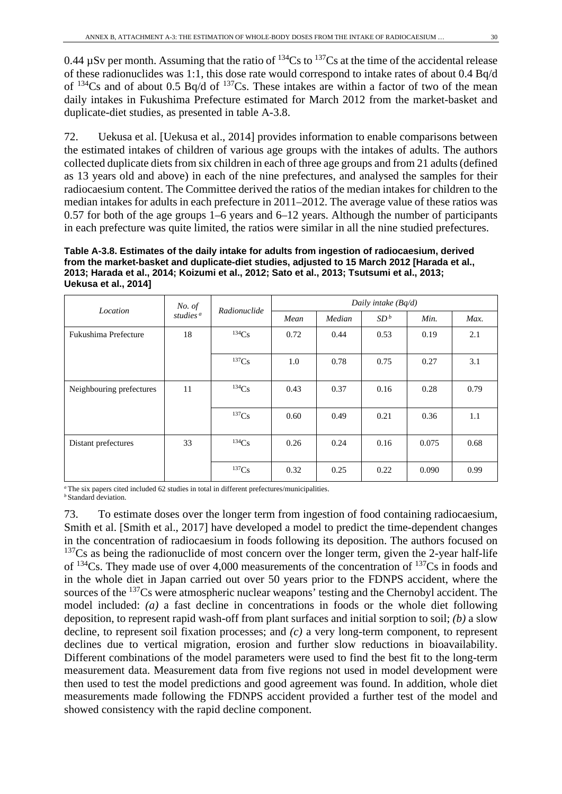0.44  $\mu$ Sv per month. Assuming that the ratio of  $^{134}Cs$  to  $^{137}Cs$  at the time of the accidental release of these radionuclides was 1:1, this dose rate would correspond to intake rates of about 0.4 Bq/d of  $134Cs$  and of about 0.5 Bq/d of  $137Cs$ . These intakes are within a factor of two of the mean daily intakes in Fukushima Prefecture estimated for March 2012 from the market-basket and duplicate-diet studies, as presented in table A-3.8.

72. Uekusa et al. [Uekusa et al., 2014] provides information to enable comparisons between the estimated intakes of children of various age groups with the intakes of adults. The authors collected duplicate diets from six children in each of three age groups and from 21 adults (defined as 13 years old and above) in each of the nine prefectures, and analysed the samples for their radiocaesium content. The Committee derived the ratios of the median intakes for children to the median intakes for adults in each prefecture in 2011–2012. The average value of these ratios was 0.57 for both of the age groups 1–6 years and 6–12 years. Although the number of participants in each prefecture was quite limited, the ratios were similar in all the nine studied prefectures.

**Table A-3.8. Estimates of the daily intake for adults from ingestion of radiocaesium, derived from the market-basket and duplicate-diet studies, adjusted to 15 March 2012 [Harada et al., 2013; Harada et al., 2014; Koizumi et al., 2012; Sato et al., 2013; Tsutsumi et al., 2013; Uekusa et al., 2014]**

|                          | No. of               |              | Daily intake (Bq/d) |        |                 |       |      |
|--------------------------|----------------------|--------------|---------------------|--------|-----------------|-------|------|
| Location                 | studies <sup>a</sup> | Radionuclide | Mean                | Median | SD <sup>b</sup> | Min.  | Max. |
| Fukushima Prefecture     | 18                   | 134Cs        | 0.72                | 0.44   | 0.53            | 0.19  | 2.1  |
|                          |                      | 137Cs        | 1.0                 | 0.78   | 0.75            | 0.27  | 3.1  |
| Neighbouring prefectures | 11                   | 134Cs        | 0.43                | 0.37   | 0.16            | 0.28  | 0.79 |
|                          |                      | 137Cs        | 0.60                | 0.49   | 0.21            | 0.36  | 1.1  |
| Distant prefectures      | 33                   | 134Cs        | 0.26                | 0.24   | 0.16            | 0.075 | 0.68 |
|                          |                      | 137Cs        | 0.32                | 0.25   | 0.22            | 0.090 | 0.99 |

*<sup>a</sup>* The six papers cited included 62 studies in total in different prefectures/municipalities. *b* Standard deviation.

73. To estimate doses over the longer term from ingestion of food containing radiocaesium, Smith et al. [Smith et al., 2017] have developed a model to predict the time-dependent changes in the concentration of radiocaesium in foods following its deposition. The authors focused on  $137Cs$  as being the radionuclide of most concern over the longer term, given the 2-year half-life of  $^{134}Cs$ . They made use of over 4,000 measurements of the concentration of  $^{137}Cs$  in foods and in the whole diet in Japan carried out over 50 years prior to the FDNPS accident, where the sources of the <sup>137</sup>Cs were atmospheric nuclear weapons' testing and the Chernobyl accident. The model included: *(a)* a fast decline in concentrations in foods or the whole diet following deposition, to represent rapid wash-off from plant surfaces and initial sorption to soil; *(b)* a slow decline, to represent soil fixation processes; and *(c)* a very long-term component, to represent declines due to vertical migration, erosion and further slow reductions in bioavailability. Different combinations of the model parameters were used to find the best fit to the long-term measurement data. Measurement data from five regions not used in model development were then used to test the model predictions and good agreement was found. In addition, whole diet measurements made following the FDNPS accident provided a further test of the model and showed consistency with the rapid decline component.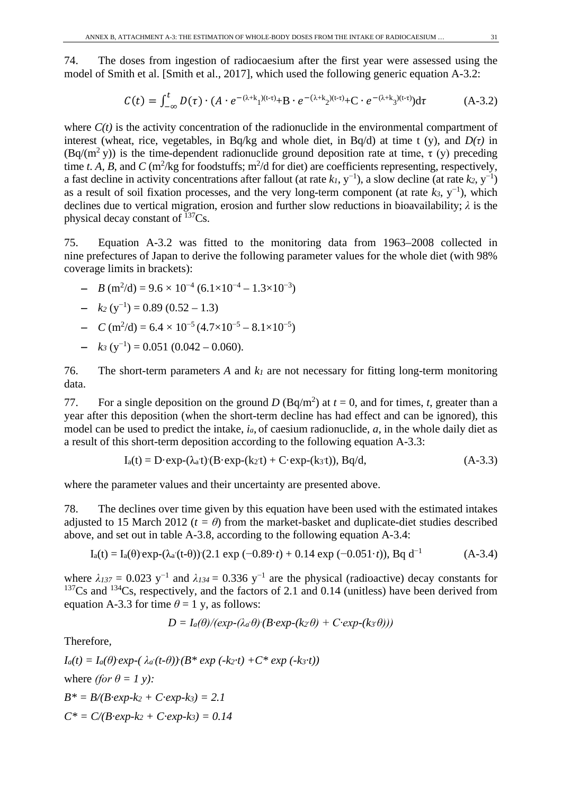74. The doses from ingestion of radiocaesium after the first year were assessed using the model of Smith et al. [Smith et al., 2017], which used the following generic equation A-3.2:

$$
C(t) = \int_{-\infty}^{t} D(\tau) \cdot (A \cdot e^{-(\lambda + k_1)(t - \tau)} + B \cdot e^{-(\lambda + k_2)(t - \tau)} + C \cdot e^{-(\lambda + k_3)(t - \tau)}) d\tau
$$
 (A-3.2)

where  $C(t)$  is the activity concentration of the radionuclide in the environmental compartment of interest (wheat, rice, vegetables, in Bq/kg and whole diet, in Bq/d) at time t (y), and  $D(\tau)$  in  $(Bq/(m^2 y))$  is the time-dependent radionuclide ground deposition rate at time,  $\tau(y)$  preceding time *t*. *A*, *B*, and *C* (m<sup>2</sup>/kg for foodstuffs; m<sup>2</sup>/d for diet) are coefficients representing, respectively, a fast decline in activity concentrations after fallout (at rate  $k_1$ , y<sup>-1</sup>), a slow decline (at rate  $k_2$ , y<sup>-1</sup>) as a result of soil fixation processes, and the very long-term component (at rate *k3*, y<sup>−</sup><sup>1</sup> ), which declines due to vertical migration, erosion and further slow reductions in bioavailability; *λ* is the physical decay constant of 137Cs.

75. Equation A-3.2 was fitted to the monitoring data from 1963–2008 collected in nine prefectures of Japan to derive the following parameter values for the whole diet (with 98% coverage limits in brackets):

 $- B(m^2/d) = 9.6 \times 10^{-4} (6.1 \times 10^{-4} - 1.3 \times 10^{-3})$ 

$$
- k_2 (y^{-1}) = 0.89 (0.52 - 1.3)
$$

- $-C \text{ (m}^2/\text{d}) = 6.4 \times 10^{-5} (4.7 \times 10^{-5} 8.1 \times 10^{-5})$
- $-k_3(y^{-1}) = 0.051(0.042 0.060).$

76. The short-term parameters *A* and *k1* are not necessary for fitting long-term monitoring data.

77. For a single deposition on the ground *D* (Bq/m<sup>2</sup>) at  $t = 0$ , and for times, *t*, greater than a year after this deposition (when the short-term decline has had effect and can be ignored), this model can be used to predict the intake, *ia*, of caesium radionuclide, *a*, in the whole daily diet as a result of this short-term deposition according to the following equation A-3.3:

$$
I_a(t) = D \cdot exp(-(\lambda_a t)) (B \cdot exp(-(k_2 t) + C \cdot exp(-(k_3 t)), Bq/d, \tag{A-3.3})
$$

where the parameter values and their uncertainty are presented above.

78. The declines over time given by this equation have been used with the estimated intakes adjusted to 15 March 2012 ( $t = \theta$ ) from the market-basket and duplicate-diet studies described above, and set out in table A-3.8, according to the following equation A-3.4:

$$
I_a(t) = I_a(\theta) \exp(-(\lambda_a(t-\theta))(2.1 \exp(-0.89 \cdot t) + 0.14 \exp(-0.051 \cdot t)), Bq d^{-1}
$$
 (A-3.4)

where  $\lambda_{137} = 0.023$  y<sup>-1</sup> and  $\lambda_{134} = 0.336$  y<sup>-1</sup> are the physical (radioactive) decay constants for  $137Cs$  and  $134Cs$ , respectively, and the factors of 2.1 and 0.14 (unitless) have been derived from equation A-3.3 for time  $\theta = 1$  y, as follows:

$$
D = I_a(\theta)/(exp-(\lambda_a \theta) (B \cdot exp-(k_2 \theta) + C \cdot exp-(k_3 \theta)))
$$

Therefore*,*

 $I_a(t) = I_a(\theta) \exp(-\lambda_a(t-\theta)) (B^* \exp(-k_2 \cdot t) + C^* \exp(-k_3 \cdot t))$ where *(for*  $\theta = 1$  *y):*  $B^* = B/(B \cdot exp \cdot k_2 + C \cdot exp \cdot k_3) = 2.1$  $C^* = C/(B \cdot exp-k_2 + C \cdot exp-k_3) = 0.14$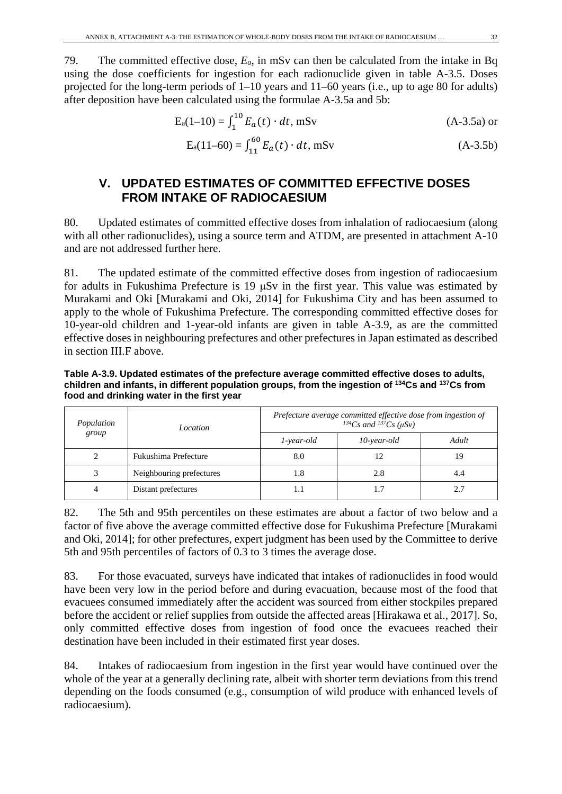79. The committed effective dose, *Ea*, in mSv can then be calculated from the intake in Bq using the dose coefficients for ingestion for each radionuclide given in table A-3.5. Doses projected for the long-term periods of 1–10 years and 11–60 years (i.e., up to age 80 for adults) after deposition have been calculated using the formulae A-3.5a and 5b:

$$
E_a(1-10) = \int_1^{10} E_a(t) \cdot dt, \text{ mSv} \tag{A-3.5a} \text{ or}
$$

$$
E_a(11-60) = \int_{11}^{60} E_a(t) \cdot dt, mSv
$$
 (A-3.5b)

# **V. UPDATED ESTIMATES OF COMMITTED EFFECTIVE DOSES FROM INTAKE OF RADIOCAESIUM**

80. Updated estimates of committed effective doses from inhalation of radiocaesium (along with all other radionuclides), using a source term and ATDM, are presented in attachment A-10 and are not addressed further here.

81. The updated estimate of the committed effective doses from ingestion of radiocaesium for adults in Fukushima Prefecture is 19 μSv in the first year. This value was estimated by Murakami and Oki [Murakami and Oki, 2014] for Fukushima City and has been assumed to apply to the whole of Fukushima Prefecture. The corresponding committed effective doses for 10-year-old children and 1-year-old infants are given in table A-3.9, as are the committed effective doses in neighbouring prefectures and other prefectures in Japan estimated as described in section III.F above.

**Table A-3.9. Updated estimates of the prefecture average committed effective doses to adults, children and infants, in different population groups, from the ingestion of 134Cs and 137Cs from food and drinking water in the first year**

| Population | Location                 | Prefecture average committed effective dose from ingestion of<br><sup>134</sup> Cs and <sup>137</sup> Cs ( $\mu$ Sv) |             |       |  |
|------------|--------------------------|----------------------------------------------------------------------------------------------------------------------|-------------|-------|--|
| group      |                          | 1-year-old                                                                                                           | 10-year-old | Adult |  |
|            | Fukushima Prefecture     | 8.0                                                                                                                  | 12          | 19    |  |
|            | Neighbouring prefectures | 1.8                                                                                                                  | 2.8         | 4.4   |  |
|            | Distant prefectures      | 1.1                                                                                                                  |             | 2.7   |  |

82. The 5th and 95th percentiles on these estimates are about a factor of two below and a factor of five above the average committed effective dose for Fukushima Prefecture [Murakami and Oki, 2014]; for other prefectures, expert judgment has been used by the Committee to derive 5th and 95th percentiles of factors of 0.3 to 3 times the average dose.

83. For those evacuated, surveys have indicated that intakes of radionuclides in food would have been very low in the period before and during evacuation, because most of the food that evacuees consumed immediately after the accident was sourced from either stockpiles prepared before the accident or relief supplies from outside the affected areas [Hirakawa et al., 2017]. So, only committed effective doses from ingestion of food once the evacuees reached their destination have been included in their estimated first year doses.

84. Intakes of radiocaesium from ingestion in the first year would have continued over the whole of the year at a generally declining rate, albeit with shorter term deviations from this trend depending on the foods consumed (e.g., consumption of wild produce with enhanced levels of radiocaesium).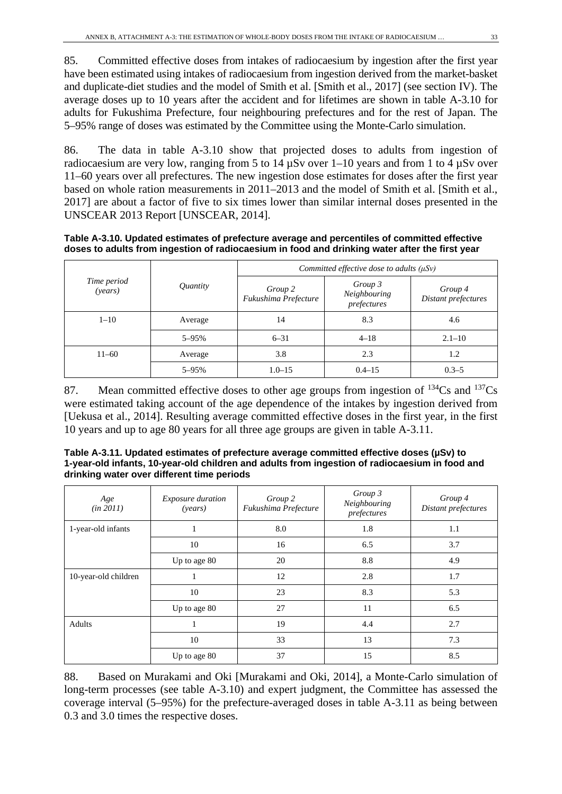85. Committed effective doses from intakes of radiocaesium by ingestion after the first year have been estimated using intakes of radiocaesium from ingestion derived from the market-basket and duplicate-diet studies and the model of Smith et al. [Smith et al., 2017] (see section IV). The average doses up to 10 years after the accident and for lifetimes are shown in table A-3.10 for adults for Fukushima Prefecture, four neighbouring prefectures and for the rest of Japan. The 5–95% range of doses was estimated by the Committee using the Monte-Carlo simulation.

86. The data in table A-3.10 show that projected doses to adults from ingestion of radiocaesium are very low, ranging from 5 to 14 µSv over 1–10 years and from 1 to 4 µSv over 11–60 years over all prefectures. The new ingestion dose estimates for doses after the first year based on whole ration measurements in 2011–2013 and the model of Smith et al. [Smith et al., 2017] are about a factor of five to six times lower than similar internal doses presented in the UNSCEAR 2013 Report [UNSCEAR, 2014].

**Table A-3.10. Updated estimates of prefecture average and percentiles of committed effective doses to adults from ingestion of radiocaesium in food and drinking water after the first year**

| Time period<br>(years) | Quantity  | Committed effective dose to adults $(\mu S \nu)$ |                                        |                                |
|------------------------|-----------|--------------------------------------------------|----------------------------------------|--------------------------------|
|                        |           | Group 2<br>Fukushima Prefecture                  | Group 3<br>Neighbouring<br>prefectures | Group 4<br>Distant prefectures |
| $1 - 10$               | Average   | 14                                               | 8.3                                    | 4.6                            |
|                        | $5 - 95%$ | $6 - 31$                                         | $4 - 18$                               | $2.1 - 10$                     |
| $11 - 60$              | Average   | 3.8                                              | 2.3                                    | 1.2                            |
|                        | 5-95%     | $1.0 - 15$                                       | $0.4 - 15$                             | $0.3 - 5$                      |

87. Mean committed effective doses to other age groups from ingestion of  $^{134}Cs$  and  $^{137}Cs$ were estimated taking account of the age dependence of the intakes by ingestion derived from [Uekusa et al., 2014]. Resulting average committed effective doses in the first year, in the first 10 years and up to age 80 years for all three age groups are given in table A-3.11.

| Table A-3.11. Updated estimates of prefecture average committed effective doses (µSv) to       |
|------------------------------------------------------------------------------------------------|
| 1-year-old infants, 10-year-old children and adults from ingestion of radiocaesium in food and |
| drinking water over different time periods                                                     |

| Age<br>(in 2011)     | <i>Exposure duration</i><br>( <i>years</i> ) | Group 2<br>Fukushima Prefecture | Group 3<br>Neighbouring<br>prefectures | Group 4<br>Distant prefectures |
|----------------------|----------------------------------------------|---------------------------------|----------------------------------------|--------------------------------|
| 1-year-old infants   | п                                            | 8.0                             | 1.8                                    | 1.1                            |
|                      | 10                                           | 16                              | 6.5                                    | 3.7                            |
|                      | Up to age 80                                 | 20                              | 8.8                                    | 4.9                            |
| 10-year-old children | -1                                           | 12                              | 2.8                                    | 1.7                            |
|                      | 10                                           | 23                              | 8.3                                    | 5.3                            |
|                      | Up to age 80                                 | 27                              | 11                                     | 6.5                            |
| Adults               | п                                            | 19                              | 4.4                                    | 2.7                            |
|                      | 10                                           | 33                              | 13                                     | 7.3                            |
|                      | Up to age 80                                 | 37                              | 15                                     | 8.5                            |

88. Based on Murakami and Oki [Murakami and Oki, 2014], a Monte-Carlo simulation of long-term processes (see table A-3.10) and expert judgment, the Committee has assessed the coverage interval (5–95%) for the prefecture-averaged doses in table A-3.11 as being between 0.3 and 3.0 times the respective doses.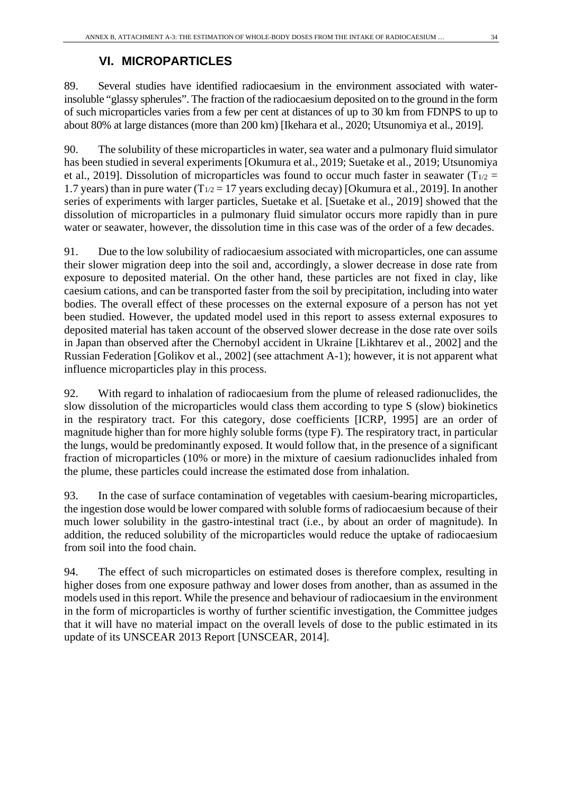# **VI. MICROPARTICLES**

89. Several studies have identified radiocaesium in the environment associated with waterinsoluble "glassy spherules". The fraction of the radiocaesium deposited on to the ground in the form of such microparticles varies from a few per cent at distances of up to 30 km from FDNPS to up to about 80% at large distances (more than 200 km) [Ikehara et al., 2020; Utsunomiya et al., 2019].

90. The solubility of these microparticles in water, sea water and a pulmonary fluid simulator has been studied in several experiments [Okumura et al., 2019; Suetake et al., 2019; Utsunomiya et al., 2019]. Dissolution of microparticles was found to occur much faster in seawater ( $T_{1/2}$  = 1.7 years) than in pure water ( $T_{1/2} = 17$  years excluding decay) [Okumura et al., 2019]. In another series of experiments with larger particles, Suetake et al. [Suetake et al., 2019] showed that the dissolution of microparticles in a pulmonary fluid simulator occurs more rapidly than in pure water or seawater, however, the dissolution time in this case was of the order of a few decades.

91. Due to the low solubility of radiocaesium associated with microparticles, one can assume their slower migration deep into the soil and, accordingly, a slower decrease in dose rate from exposure to deposited material. On the other hand, these particles are not fixed in clay, like caesium cations, and can be transported faster from the soil by precipitation, including into water bodies. The overall effect of these processes on the external exposure of a person has not yet been studied. However, the updated model used in this report to assess external exposures to deposited material has taken account of the observed slower decrease in the dose rate over soils in Japan than observed after the Chernobyl accident in Ukraine [Likhtarev et al., 2002] and the Russian Federation [Golikov et al., 2002] (see attachment A-1); however, it is not apparent what influence microparticles play in this process.

92. With regard to inhalation of radiocaesium from the plume of released radionuclides, the slow dissolution of the microparticles would class them according to type S (slow) biokinetics in the respiratory tract. For this category, dose coefficients [ICRP, 1995] are an order of magnitude higher than for more highly soluble forms (type F). The respiratory tract, in particular the lungs, would be predominantly exposed. It would follow that, in the presence of a significant fraction of microparticles (10% or more) in the mixture of caesium radionuclides inhaled from the plume, these particles could increase the estimated dose from inhalation.

93. In the case of surface contamination of vegetables with caesium-bearing microparticles, the ingestion dose would be lower compared with soluble forms of radiocaesium because of their much lower solubility in the gastro-intestinal tract (i.e., by about an order of magnitude). In addition, the reduced solubility of the microparticles would reduce the uptake of radiocaesium from soil into the food chain.

94. The effect of such microparticles on estimated doses is therefore complex, resulting in higher doses from one exposure pathway and lower doses from another, than as assumed in the models used in this report. While the presence and behaviour of radiocaesium in the environment in the form of microparticles is worthy of further scientific investigation, the Committee judges that it will have no material impact on the overall levels of dose to the public estimated in its update of its UNSCEAR 2013 Report [UNSCEAR, 2014].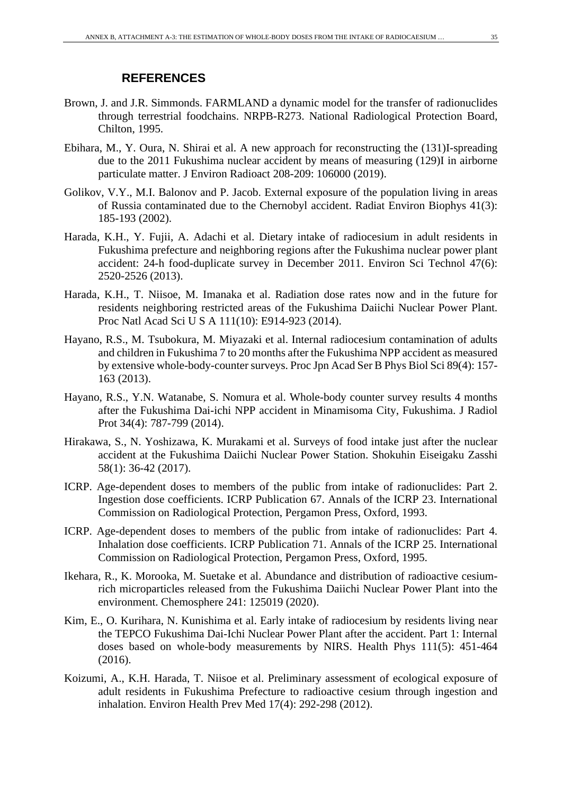### **REFERENCES**

- Brown, J. and J.R. Simmonds. FARMLAND a dynamic model for the transfer of radionuclides through terrestrial foodchains. NRPB-R273. National Radiological Protection Board, Chilton, 1995.
- Ebihara, M., Y. Oura, N. Shirai et al. A new approach for reconstructing the (131)I-spreading due to the 2011 Fukushima nuclear accident by means of measuring (129)I in airborne particulate matter. J Environ Radioact 208-209: 106000 (2019).
- Golikov, V.Y., M.I. Balonov and P. Jacob. External exposure of the population living in areas of Russia contaminated due to the Chernobyl accident. Radiat Environ Biophys 41(3): 185-193 (2002).
- Harada, K.H., Y. Fujii, A. Adachi et al. Dietary intake of radiocesium in adult residents in Fukushima prefecture and neighboring regions after the Fukushima nuclear power plant accident: 24-h food-duplicate survey in December 2011. Environ Sci Technol 47(6): 2520-2526 (2013).
- Harada, K.H., T. Niisoe, M. Imanaka et al. Radiation dose rates now and in the future for residents neighboring restricted areas of the Fukushima Daiichi Nuclear Power Plant. Proc Natl Acad Sci U S A 111(10): E914-923 (2014).
- Hayano, R.S., M. Tsubokura, M. Miyazaki et al. Internal radiocesium contamination of adults and children in Fukushima 7 to 20 months after the Fukushima NPP accident as measured by extensive whole-body-counter surveys. Proc Jpn Acad Ser B Phys Biol Sci 89(4): 157- 163 (2013).
- Hayano, R.S., Y.N. Watanabe, S. Nomura et al. Whole-body counter survey results 4 months after the Fukushima Dai-ichi NPP accident in Minamisoma City, Fukushima. J Radiol Prot 34(4): 787-799 (2014).
- Hirakawa, S., N. Yoshizawa, K. Murakami et al. Surveys of food intake just after the nuclear accident at the Fukushima Daiichi Nuclear Power Station. Shokuhin Eiseigaku Zasshi 58(1): 36-42 (2017).
- ICRP. Age-dependent doses to members of the public from intake of radionuclides: Part 2. Ingestion dose coefficients. ICRP Publication 67. Annals of the ICRP 23. International Commission on Radiological Protection, Pergamon Press, Oxford, 1993.
- ICRP. Age-dependent doses to members of the public from intake of radionuclides: Part 4. Inhalation dose coefficients. ICRP Publication 71. Annals of the ICRP 25. International Commission on Radiological Protection, Pergamon Press, Oxford, 1995.
- Ikehara, R., K. Morooka, M. Suetake et al. Abundance and distribution of radioactive cesiumrich microparticles released from the Fukushima Daiichi Nuclear Power Plant into the environment. Chemosphere 241: 125019 (2020).
- Kim, E., O. Kurihara, N. Kunishima et al. Early intake of radiocesium by residents living near the TEPCO Fukushima Dai-Ichi Nuclear Power Plant after the accident. Part 1: Internal doses based on whole-body measurements by NIRS. Health Phys 111(5): 451-464 (2016).
- Koizumi, A., K.H. Harada, T. Niisoe et al. Preliminary assessment of ecological exposure of adult residents in Fukushima Prefecture to radioactive cesium through ingestion and inhalation. Environ Health Prev Med 17(4): 292-298 (2012).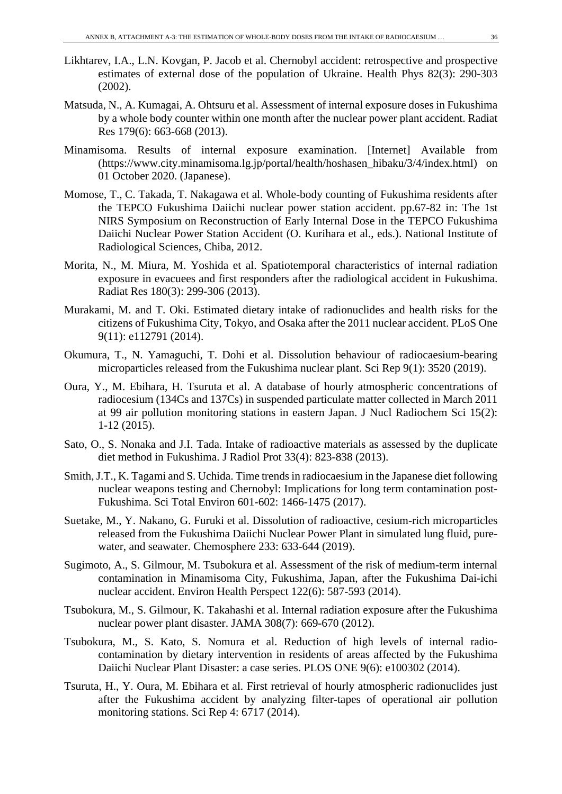- Likhtarev, I.A., L.N. Kovgan, P. Jacob et al. Chernobyl accident: retrospective and prospective estimates of external dose of the population of Ukraine. Health Phys 82(3): 290-303 (2002).
- Matsuda, N., A. Kumagai, A. Ohtsuru et al. Assessment of internal exposure doses in Fukushima by a whole body counter within one month after the nuclear power plant accident. Radiat Res 179(6): 663-668 (2013).
- Minamisoma. Results of internal exposure examination. [Internet] Available from (https://www.city.minamisoma.lg.jp/portal/health/hoshasen\_hibaku/3/4/index.html) on 01 October 2020. (Japanese).
- Momose, T., C. Takada, T. Nakagawa et al. Whole-body counting of Fukushima residents after the TEPCO Fukushima Daiichi nuclear power station accident. pp.67-82 in: The 1st NIRS Symposium on Reconstruction of Early Internal Dose in the TEPCO Fukushima Daiichi Nuclear Power Station Accident (O. Kurihara et al., eds.). National Institute of Radiological Sciences, Chiba, 2012.
- Morita, N., M. Miura, M. Yoshida et al. Spatiotemporal characteristics of internal radiation exposure in evacuees and first responders after the radiological accident in Fukushima. Radiat Res 180(3): 299-306 (2013).
- Murakami, M. and T. Oki. Estimated dietary intake of radionuclides and health risks for the citizens of Fukushima City, Tokyo, and Osaka after the 2011 nuclear accident. PLoS One 9(11): e112791 (2014).
- Okumura, T., N. Yamaguchi, T. Dohi et al. Dissolution behaviour of radiocaesium-bearing microparticles released from the Fukushima nuclear plant. Sci Rep 9(1): 3520 (2019).
- Oura, Y., M. Ebihara, H. Tsuruta et al. A database of hourly atmospheric concentrations of radiocesium (134Cs and 137Cs) in suspended particulate matter collected in March 2011 at 99 air pollution monitoring stations in eastern Japan. J Nucl Radiochem Sci 15(2): 1-12 (2015).
- Sato, O., S. Nonaka and J.I. Tada. Intake of radioactive materials as assessed by the duplicate diet method in Fukushima. J Radiol Prot 33(4): 823-838 (2013).
- Smith, J.T., K. Tagami and S. Uchida. Time trends in radiocaesium in the Japanese diet following nuclear weapons testing and Chernobyl: Implications for long term contamination post-Fukushima. Sci Total Environ 601-602: 1466-1475 (2017).
- Suetake, M., Y. Nakano, G. Furuki et al. Dissolution of radioactive, cesium-rich microparticles released from the Fukushima Daiichi Nuclear Power Plant in simulated lung fluid, purewater, and seawater. Chemosphere 233: 633-644 (2019).
- Sugimoto, A., S. Gilmour, M. Tsubokura et al. Assessment of the risk of medium-term internal contamination in Minamisoma City, Fukushima, Japan, after the Fukushima Dai-ichi nuclear accident. Environ Health Perspect 122(6): 587-593 (2014).
- Tsubokura, M., S. Gilmour, K. Takahashi et al. Internal radiation exposure after the Fukushima nuclear power plant disaster. JAMA 308(7): 669-670 (2012).
- Tsubokura, M., S. Kato, S. Nomura et al. Reduction of high levels of internal radiocontamination by dietary intervention in residents of areas affected by the Fukushima Daiichi Nuclear Plant Disaster: a case series. PLOS ONE 9(6): e100302 (2014).
- Tsuruta, H., Y. Oura, M. Ebihara et al. First retrieval of hourly atmospheric radionuclides just after the Fukushima accident by analyzing filter-tapes of operational air pollution monitoring stations. Sci Rep 4: 6717 (2014).